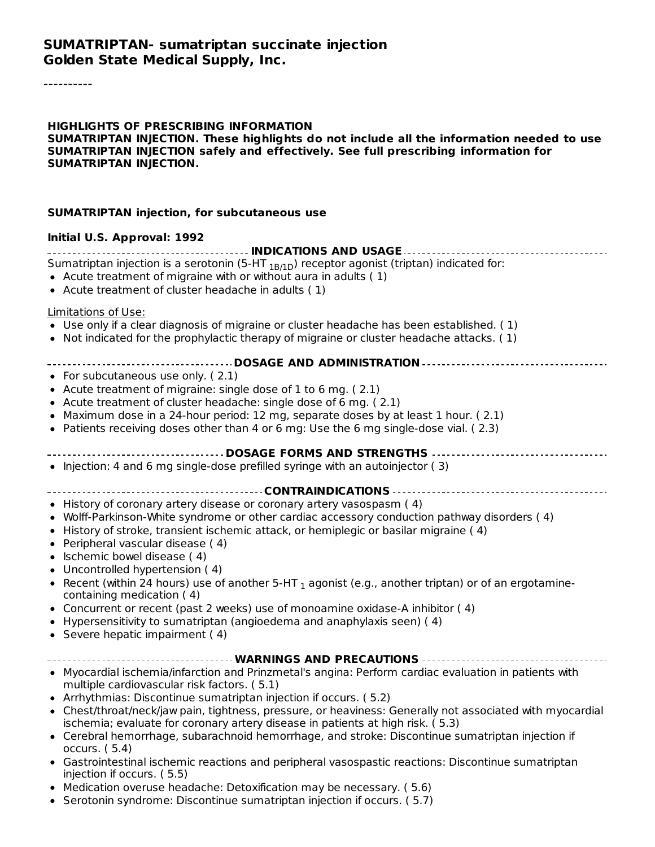#### **SUMATRIPTAN- sumatriptan succinate injection Golden State Medical Supply, Inc.**

----------

#### **HIGHLIGHTS OF PRESCRIBING INFORMATION SUMATRIPTAN INJECTION. These highlights do not include all the information needed to use SUMATRIPTAN INJECTION safely and effectively. See full prescribing information for SUMATRIPTAN INJECTION.**

#### **SUMATRIPTAN injection, for subcutaneous use**

#### **Initial U.S. Approval: 1992**

| Sumatriptan injection is a serotonin (5-HT <sub>1B/1D</sub> ) receptor agonist (triptan) indicated for:<br>• Acute treatment of migraine with or without aura in adults (1)<br>• Acute treatment of cluster headache in adults (1)                                                                                                                                                                                                                                                                                                                                                                                                                                                                                                                          |
|-------------------------------------------------------------------------------------------------------------------------------------------------------------------------------------------------------------------------------------------------------------------------------------------------------------------------------------------------------------------------------------------------------------------------------------------------------------------------------------------------------------------------------------------------------------------------------------------------------------------------------------------------------------------------------------------------------------------------------------------------------------|
| Limitations of Use:<br>• Use only if a clear diagnosis of migraine or cluster headache has been established. (1)<br>• Not indicated for the prophylactic therapy of migraine or cluster headache attacks. (1)                                                                                                                                                                                                                                                                                                                                                                                                                                                                                                                                               |
| • For subcutaneous use only. $(2.1)$<br>• Acute treatment of migraine: single dose of 1 to 6 mg. (2.1)<br>• Acute treatment of cluster headache: single dose of 6 mg. (2.1)<br>• Maximum dose in a 24-hour period: 12 mg, separate doses by at least 1 hour. (2.1)<br>• Patients receiving doses other than 4 or 6 mg: Use the 6 mg single-dose vial. (2.3)                                                                                                                                                                                                                                                                                                                                                                                                 |
| • Injection: 4 and 6 mg single-dose prefilled syringe with an autoinjector (3)                                                                                                                                                                                                                                                                                                                                                                                                                                                                                                                                                                                                                                                                              |
| • History of coronary artery disease or coronary artery vasospasm (4)<br>• Wolff-Parkinson-White syndrome or other cardiac accessory conduction pathway disorders (4)<br>• History of stroke, transient ischemic attack, or hemiplegic or basilar migraine (4)<br>• Peripheral vascular disease (4)<br>• Ischemic bowel disease (4)<br>• Uncontrolled hypertension (4)<br>• Recent (within 24 hours) use of another 5-HT <sub>1</sub> agonist (e.g., another triptan) or of an ergotamine-<br>containing medication (4)<br>• Concurrent or recent (past 2 weeks) use of monoamine oxidase-A inhibitor (4)<br>• Hypersensitivity to sumatriptan (angioedema and anaphylaxis seen) (4)<br>• Severe hepatic impairment (4)                                     |
| ------------------------------------- WARNINGS AND PRECAUTIONS -----------------------------                                                                                                                                                                                                                                                                                                                                                                                                                                                                                                                                                                                                                                                                |
| • Myocardial ischemia/infarction and Prinzmetal's angina: Perform cardiac evaluation in patients with<br>multiple cardiovascular risk factors. (5.1)<br>• Arrhythmias: Discontinue sumatriptan injection if occurs. (5.2)<br>• Chest/throat/neck/jaw pain, tightness, pressure, or heaviness: Generally not associated with myocardial<br>ischemia; evaluate for coronary artery disease in patients at high risk. (5.3)<br>• Cerebral hemorrhage, subarachnoid hemorrhage, and stroke: Discontinue sumatriptan injection if<br>occurs. (5.4)<br>• Gastrointestinal ischemic reactions and peripheral vasospastic reactions: Discontinue sumatriptan<br>injection if occurs. (5.5)<br>• Medication overuse headache: Detoxification may be necessary. (5.6) |

Serotonin syndrome: Discontinue sumatriptan injection if occurs. ( 5.7)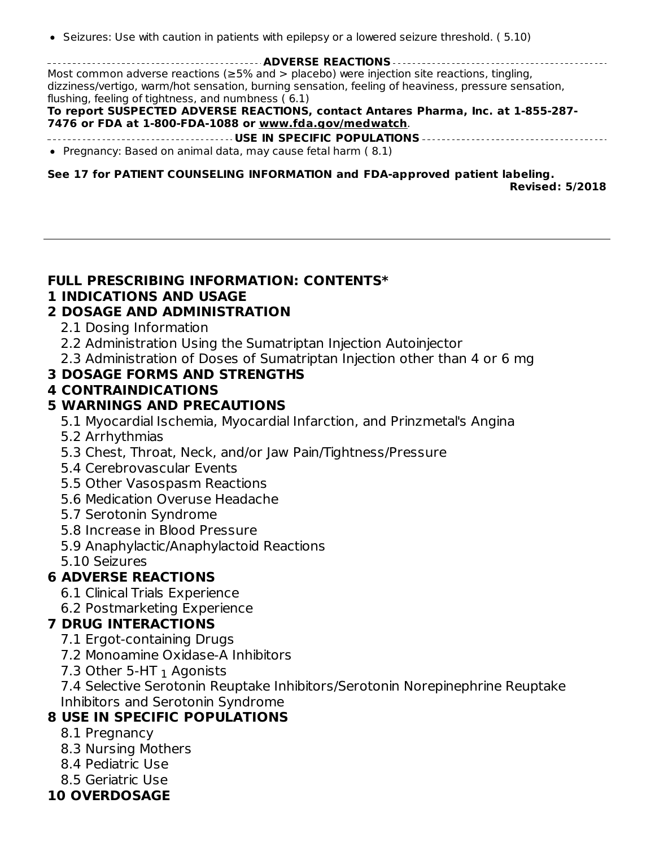• Seizures: Use with caution in patients with epilepsy or a lowered seizure threshold. (5.10)

**ADVERSE REACTIONS** Most common adverse reactions ( $\geq$ 5% and > placebo) were injection site reactions, tingling, dizziness/vertigo, warm/hot sensation, burning sensation, feeling of heaviness, pressure sensation, flushing, feeling of tightness, and numbness ( 6.1)

#### **To report SUSPECTED ADVERSE REACTIONS, contact Antares Pharma, Inc. at 1-855-287- 7476 or FDA at 1-800-FDA-1088 or www.fda.gov/medwatch**.

- **USE IN SPECIFIC POPULATIONS**
- Pregnancy: Based on animal data, may cause fetal harm (8.1)

**See 17 for PATIENT COUNSELING INFORMATION and FDA-approved patient labeling. Revised: 5/2018**

#### **FULL PRESCRIBING INFORMATION: CONTENTS\***

#### **1 INDICATIONS AND USAGE**

#### **2 DOSAGE AND ADMINISTRATION**

- 2.1 Dosing Information
- 2.2 Administration Using the Sumatriptan Injection Autoinjector
- 2.3 Administration of Doses of Sumatriptan Injection other than 4 or 6 mg

#### **3 DOSAGE FORMS AND STRENGTHS**

#### **4 CONTRAINDICATIONS**

#### **5 WARNINGS AND PRECAUTIONS**

5.1 Myocardial Ischemia, Myocardial Infarction, and Prinzmetal's Angina

- 5.2 Arrhythmias
- 5.3 Chest, Throat, Neck, and/or Jaw Pain/Tightness/Pressure
- 5.4 Cerebrovascular Events
- 5.5 Other Vasospasm Reactions
- 5.6 Medication Overuse Headache
- 5.7 Serotonin Syndrome
- 5.8 Increase in Blood Pressure
- 5.9 Anaphylactic/Anaphylactoid Reactions
- 5.10 Seizures

#### **6 ADVERSE REACTIONS**

- 6.1 Clinical Trials Experience
- 6.2 Postmarketing Experience

#### **7 DRUG INTERACTIONS**

- 7.1 Ergot-containing Drugs
- 7.2 Monoamine Oxidase-A Inhibitors
- 7.3 Other 5-HT  $_1$  Agonists

7.4 Selective Serotonin Reuptake Inhibitors/Serotonin Norepinephrine Reuptake Inhibitors and Serotonin Syndrome

## **8 USE IN SPECIFIC POPULATIONS**

- 8.1 Pregnancy
- 8.3 Nursing Mothers
- 8.4 Pediatric Use
- 8.5 Geriatric Use
- **10 OVERDOSAGE**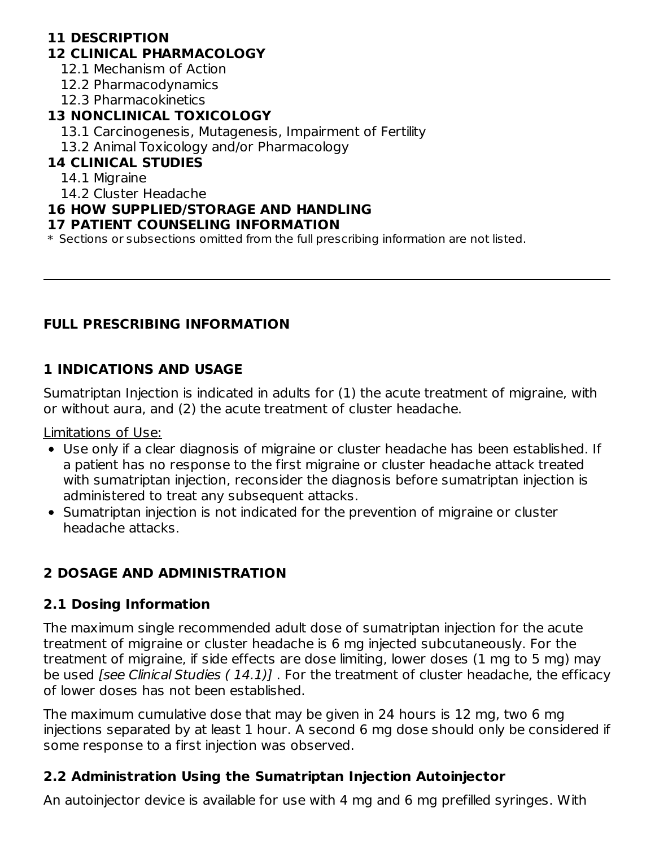## **11 DESCRIPTION**

## **12 CLINICAL PHARMACOLOGY**

12.1 Mechanism of Action

12.2 Pharmacodynamics

12.3 Pharmacokinetics

## **13 NONCLINICAL TOXICOLOGY**

13.1 Carcinogenesis, Mutagenesis, Impairment of Fertility

13.2 Animal Toxicology and/or Pharmacology

## **14 CLINICAL STUDIES**

14.1 Migraine

14.2 Cluster Headache

## **16 HOW SUPPLIED/STORAGE AND HANDLING**

## **17 PATIENT COUNSELING INFORMATION**

\* Sections or subsections omitted from the full prescribing information are not listed.

## **FULL PRESCRIBING INFORMATION**

## **1 INDICATIONS AND USAGE**

Sumatriptan Injection is indicated in adults for (1) the acute treatment of migraine, with or without aura, and (2) the acute treatment of cluster headache.

Limitations of Use:

- Use only if a clear diagnosis of migraine or cluster headache has been established. If a patient has no response to the first migraine or cluster headache attack treated with sumatriptan injection, reconsider the diagnosis before sumatriptan injection is administered to treat any subsequent attacks.
- Sumatriptan injection is not indicated for the prevention of migraine or cluster headache attacks.

## **2 DOSAGE AND ADMINISTRATION**

## **2.1 Dosing Information**

The maximum single recommended adult dose of sumatriptan injection for the acute treatment of migraine or cluster headache is 6 mg injected subcutaneously. For the treatment of migraine, if side effects are dose limiting, lower doses (1 mg to 5 mg) may be used [see Clinical Studies (14.1)]. For the treatment of cluster headache, the efficacy of lower doses has not been established.

The maximum cumulative dose that may be given in 24 hours is 12 mg, two 6 mg injections separated by at least 1 hour. A second 6 mg dose should only be considered if some response to a first injection was observed.

## **2.2 Administration Using the Sumatriptan Injection Autoinjector**

An autoinjector device is available for use with 4 mg and 6 mg prefilled syringes. With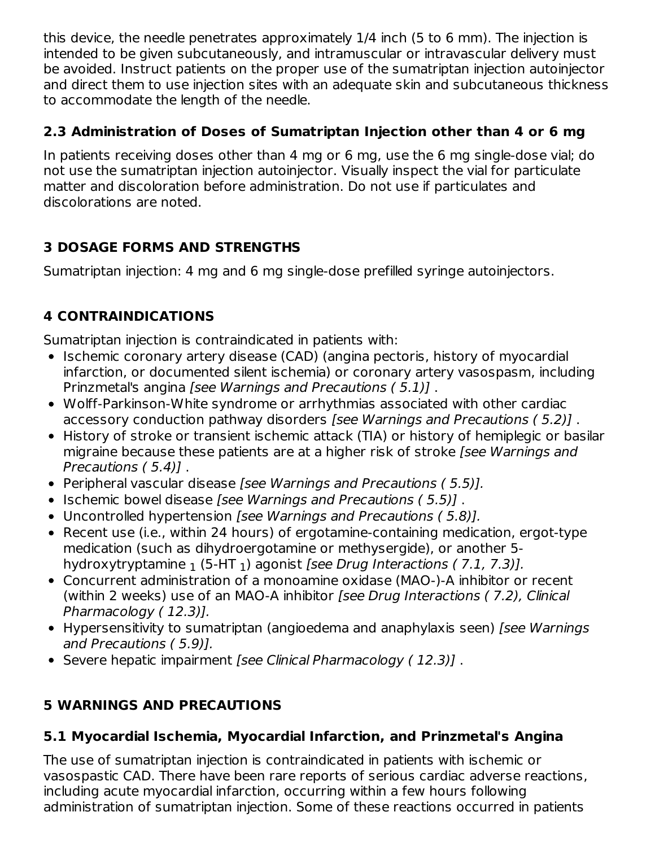this device, the needle penetrates approximately 1/4 inch (5 to 6 mm). The injection is intended to be given subcutaneously, and intramuscular or intravascular delivery must be avoided. Instruct patients on the proper use of the sumatriptan injection autoinjector and direct them to use injection sites with an adequate skin and subcutaneous thickness to accommodate the length of the needle.

## **2.3 Administration of Doses of Sumatriptan Injection other than 4 or 6 mg**

In patients receiving doses other than 4 mg or 6 mg, use the 6 mg single-dose vial; do not use the sumatriptan injection autoinjector. Visually inspect the vial for particulate matter and discoloration before administration. Do not use if particulates and discolorations are noted.

## **3 DOSAGE FORMS AND STRENGTHS**

Sumatriptan injection: 4 mg and 6 mg single-dose prefilled syringe autoinjectors.

# **4 CONTRAINDICATIONS**

Sumatriptan injection is contraindicated in patients with:

- Ischemic coronary artery disease (CAD) (angina pectoris, history of myocardial infarction, or documented silent ischemia) or coronary artery vasospasm, including Prinzmetal's angina [see Warnings and Precautions ( 5.1)] .
- Wolff-Parkinson-White syndrome or arrhythmias associated with other cardiac accessory conduction pathway disorders [see Warnings and Precautions ( 5.2)] .
- History of stroke or transient ischemic attack (TIA) or history of hemiplegic or basilar migraine because these patients are at a higher risk of stroke *[see Warnings and* Precautions ( 5.4)] .
- Peripheral vascular disease [see Warnings and Precautions (5.5)].
- Ischemic bowel disease [see Warnings and Precautions (5.5)].
- Uncontrolled hypertension [see Warnings and Precautions (5.8)].
- Recent use (i.e., within 24 hours) of ergotamine-containing medication, ergot-type medication (such as dihydroergotamine or methysergide), or another 5 hydroxytryptamine  $_1$  (5-HT  $_1$ ) agonist *[see Drug Interactions ( 7.1, 7.3)].*
- Concurrent administration of a monoamine oxidase (MAO-)-A inhibitor or recent (within 2 weeks) use of an MAO-A inhibitor [see Drug Interactions ( 7.2), Clinical Pharmacology ( 12.3)].
- Hypersensitivity to sumatriptan (angioedema and anaphylaxis seen) [see Warnings] and Precautions ( 5.9)].
- Severe hepatic impairment [see Clinical Pharmacology (12.3)].

## **5 WARNINGS AND PRECAUTIONS**

## **5.1 Myocardial Ischemia, Myocardial Infarction, and Prinzmetal's Angina**

The use of sumatriptan injection is contraindicated in patients with ischemic or vasospastic CAD. There have been rare reports of serious cardiac adverse reactions, including acute myocardial infarction, occurring within a few hours following administration of sumatriptan injection. Some of these reactions occurred in patients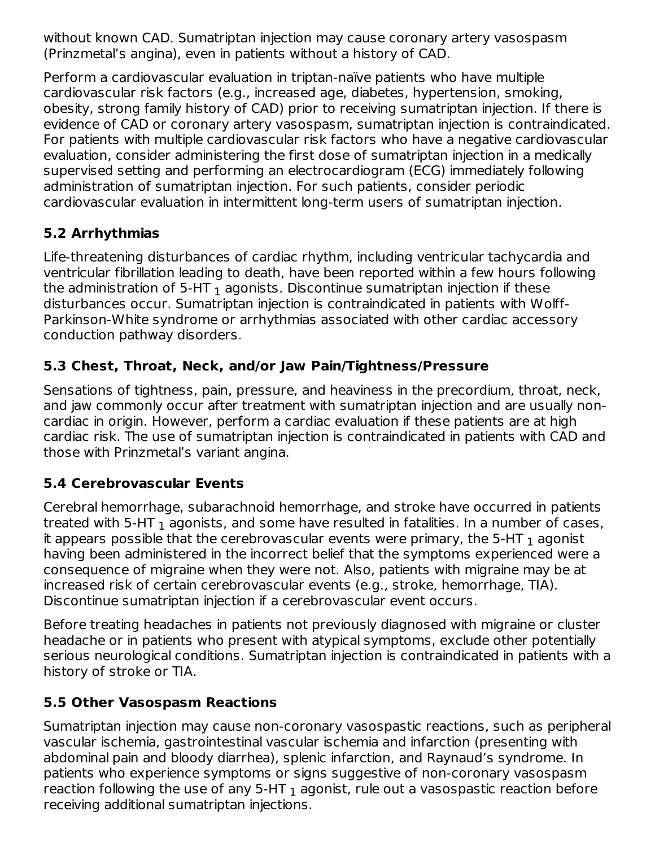without known CAD. Sumatriptan injection may cause coronary artery vasospasm (Prinzmetal's angina), even in patients without a history of CAD.

Perform a cardiovascular evaluation in triptan-naïve patients who have multiple cardiovascular risk factors (e.g., increased age, diabetes, hypertension, smoking, obesity, strong family history of CAD) prior to receiving sumatriptan injection. If there is evidence of CAD or coronary artery vasospasm, sumatriptan injection is contraindicated. For patients with multiple cardiovascular risk factors who have a negative cardiovascular evaluation, consider administering the first dose of sumatriptan injection in a medically supervised setting and performing an electrocardiogram (ECG) immediately following administration of sumatriptan injection. For such patients, consider periodic cardiovascular evaluation in intermittent long-term users of sumatriptan injection.

## **5.2 Arrhythmias**

Life-threatening disturbances of cardiac rhythm, including ventricular tachycardia and ventricular fibrillation leading to death, have been reported within a few hours following the administration of 5-HT  $_{\rm 1}$  agonists. Discontinue sumatriptan injection if these disturbances occur. Sumatriptan injection is contraindicated in patients with Wolff-Parkinson-White syndrome or arrhythmias associated with other cardiac accessory conduction pathway disorders.

#### **5.3 Chest, Throat, Neck, and/or Jaw Pain/Tightness/Pressure**

Sensations of tightness, pain, pressure, and heaviness in the precordium, throat, neck, and jaw commonly occur after treatment with sumatriptan injection and are usually noncardiac in origin. However, perform a cardiac evaluation if these patients are at high cardiac risk. The use of sumatriptan injection is contraindicated in patients with CAD and those with Prinzmetal's variant angina.

#### **5.4 Cerebrovascular Events**

Cerebral hemorrhage, subarachnoid hemorrhage, and stroke have occurred in patients treated with 5-HT  $_{\rm 1}$  agonists, and some have resulted in fatalities. In a number of cases, it appears possible that the cerebrovascular events were primary, the 5-HT  $_{\rm 1}$  agonist having been administered in the incorrect belief that the symptoms experienced were a consequence of migraine when they were not. Also, patients with migraine may be at increased risk of certain cerebrovascular events (e.g., stroke, hemorrhage, TIA). Discontinue sumatriptan injection if a cerebrovascular event occurs.

Before treating headaches in patients not previously diagnosed with migraine or cluster headache or in patients who present with atypical symptoms, exclude other potentially serious neurological conditions. Sumatriptan injection is contraindicated in patients with a history of stroke or TIA.

#### **5.5 Other Vasospasm Reactions**

Sumatriptan injection may cause non-coronary vasospastic reactions, such as peripheral vascular ischemia, gastrointestinal vascular ischemia and infarction (presenting with abdominal pain and bloody diarrhea), splenic infarction, and Raynaud's syndrome. In patients who experience symptoms or signs suggestive of non-coronary vasospasm reaction following the use of any 5-HT  $_{\rm 1}$  agonist, rule out a vasospastic reaction before receiving additional sumatriptan injections.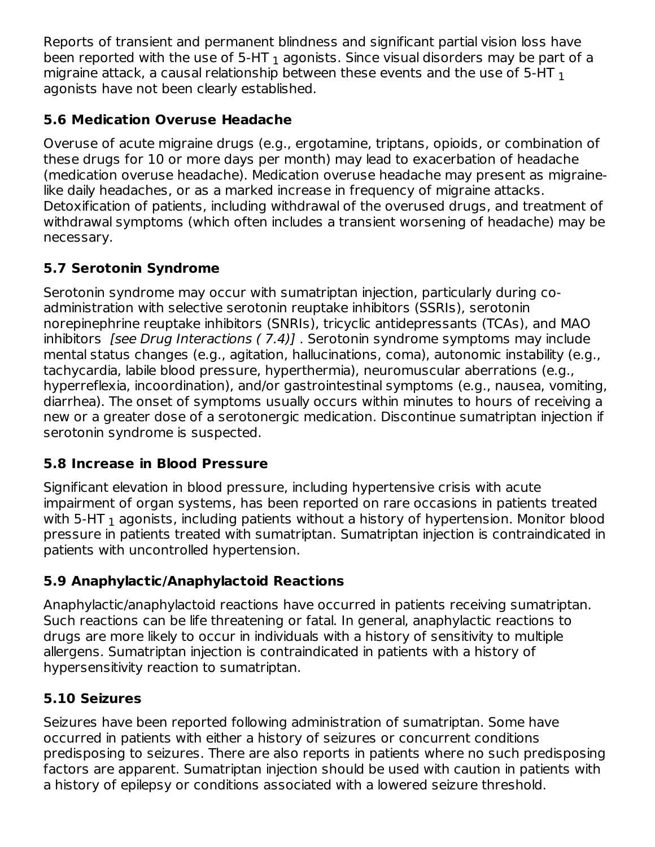Reports of transient and permanent blindness and significant partial vision loss have been reported with the use of 5-HT  $_{\rm 1}$  agonists. Since visual disorders may be part of a migraine attack, a causal relationship between these events and the use of 5-HT  $_{\rm 1}$ agonists have not been clearly established.

## **5.6 Medication Overuse Headache**

Overuse of acute migraine drugs (e.g., ergotamine, triptans, opioids, or combination of these drugs for 10 or more days per month) may lead to exacerbation of headache (medication overuse headache). Medication overuse headache may present as migrainelike daily headaches, or as a marked increase in frequency of migraine attacks. Detoxification of patients, including withdrawal of the overused drugs, and treatment of withdrawal symptoms (which often includes a transient worsening of headache) may be necessary.

## **5.7 Serotonin Syndrome**

Serotonin syndrome may occur with sumatriptan injection, particularly during coadministration with selective serotonin reuptake inhibitors (SSRIs), serotonin norepinephrine reuptake inhibitors (SNRIs), tricyclic antidepressants (TCAs), and MAO inhibitors [see Drug Interactions ( 7.4)] . Serotonin syndrome symptoms may include mental status changes (e.g., agitation, hallucinations, coma), autonomic instability (e.g., tachycardia, labile blood pressure, hyperthermia), neuromuscular aberrations (e.g., hyperreflexia, incoordination), and/or gastrointestinal symptoms (e.g., nausea, vomiting, diarrhea). The onset of symptoms usually occurs within minutes to hours of receiving a new or a greater dose of a serotonergic medication. Discontinue sumatriptan injection if serotonin syndrome is suspected.

## **5.8 Increase in Blood Pressure**

Significant elevation in blood pressure, including hypertensive crisis with acute impairment of organ systems, has been reported on rare occasions in patients treated with 5-HT  $_{\rm 1}$  agonists, including patients without a history of hypertension. Monitor blood pressure in patients treated with sumatriptan. Sumatriptan injection is contraindicated in patients with uncontrolled hypertension.

## **5.9 Anaphylactic/Anaphylactoid Reactions**

Anaphylactic/anaphylactoid reactions have occurred in patients receiving sumatriptan. Such reactions can be life threatening or fatal. In general, anaphylactic reactions to drugs are more likely to occur in individuals with a history of sensitivity to multiple allergens. Sumatriptan injection is contraindicated in patients with a history of hypersensitivity reaction to sumatriptan.

## **5.10 Seizures**

Seizures have been reported following administration of sumatriptan. Some have occurred in patients with either a history of seizures or concurrent conditions predisposing to seizures. There are also reports in patients where no such predisposing factors are apparent. Sumatriptan injection should be used with caution in patients with a history of epilepsy or conditions associated with a lowered seizure threshold.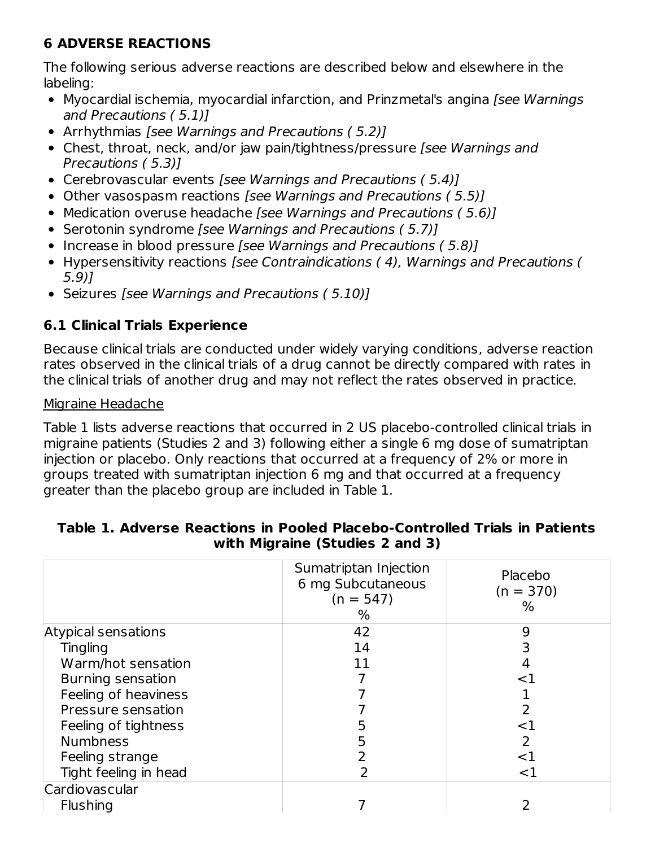## **6 ADVERSE REACTIONS**

The following serious adverse reactions are described below and elsewhere in the labeling:

- Myocardial ischemia, myocardial infarction, and Prinzmetal's angina [see Warnings] and Precautions ( 5.1)]
- Arrhythmias [see Warnings and Precautions (5.2)]
- Chest, throat, neck, and/or jaw pain/tightness/pressure [see Warnings and Precautions ( 5.3)]
- Cerebrovascular events [see Warnings and Precautions (5.4)]
- Other vasospasm reactions [see Warnings and Precautions (5.5)]
- Medication overuse headache [see Warnings and Precautions (5.6)]
- Serotonin syndrome [see Warnings and Precautions (5.7)]
- Increase in blood pressure [see Warnings and Precautions (5.8)]
- Hypersensitivity reactions [see Contraindications ( 4), Warnings and Precautions ( 5.9)]
- Seizures [see Warnings and Precautions (5.10)]

## **6.1 Clinical Trials Experience**

Because clinical trials are conducted under widely varying conditions, adverse reaction rates observed in the clinical trials of a drug cannot be directly compared with rates in the clinical trials of another drug and may not reflect the rates observed in practice.

#### Migraine Headache

Table 1 lists adverse reactions that occurred in 2 US placebo-controlled clinical trials in migraine patients (Studies 2 and 3) following either a single 6 mg dose of sumatriptan injection or placebo. Only reactions that occurred at a frequency of 2% or more in groups treated with sumatriptan injection 6 mg and that occurred at a frequency greater than the placebo group are included in Table 1.

|                       | Sumatriptan Injection<br>6 mg Subcutaneous<br>$(n = 547)$<br>% | Placebo<br>$(n = 370)$<br>℅ |
|-----------------------|----------------------------------------------------------------|-----------------------------|
| Atypical sensations   | 42                                                             | 9                           |
| <b>Tingling</b>       | 14                                                             |                             |
| Warm/hot sensation    | 11                                                             |                             |
| Burning sensation     |                                                                | ${<}1$                      |
| Feeling of heaviness  |                                                                |                             |
| Pressure sensation    |                                                                | 2                           |
| Feeling of tightness  |                                                                | ${<}1$                      |
| <b>Numbness</b>       | 5                                                              | 2                           |
| Feeling strange       |                                                                | ${<}1$                      |
| Tight feeling in head |                                                                | $<$ 1                       |
| Cardiovascular        |                                                                |                             |
| <b>Flushing</b>       |                                                                |                             |

#### **Table 1. Adverse Reactions in Pooled Placebo-Controlled Trials in Patients with Migraine (Studies 2 and 3)**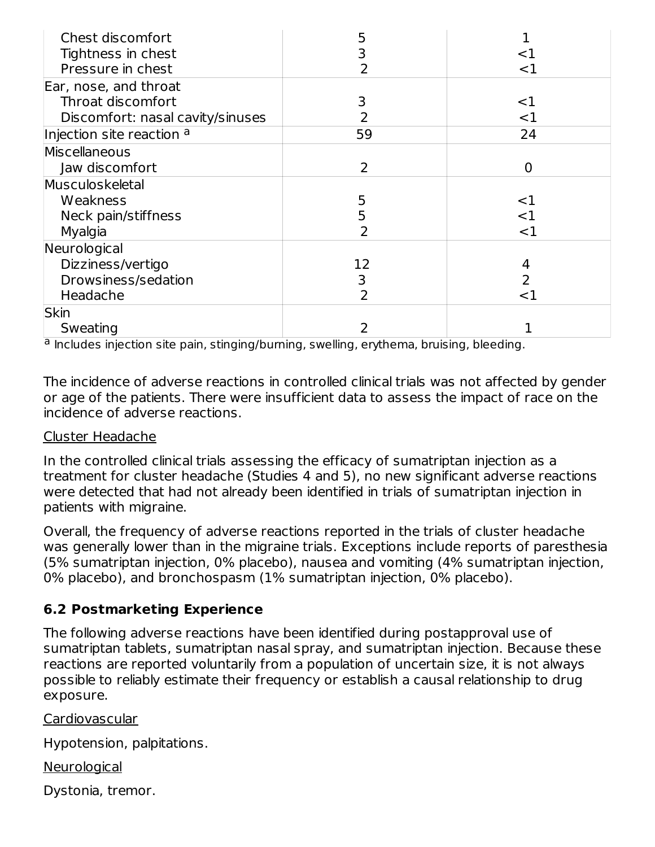| Chest discomfort                 |    |        |
|----------------------------------|----|--------|
| Tightness in chest               |    | ${<}1$ |
| Pressure in chest                |    | $<$ 1  |
| Ear, nose, and throat            |    |        |
| Throat discomfort                | 3  | $<$ 1  |
| Discomfort: nasal cavity/sinuses |    | $<$ 1  |
| Injection site reaction a        | 59 | 24     |
| Miscellaneous                    |    |        |
| Jaw discomfort                   | 2  | 0      |
| Musculoskeletal                  |    |        |
| Weakness                         | 5  | <1     |
| Neck pain/stiffness              |    | ${<}1$ |
| Myalgia                          |    | $<$ 1  |
| Neurological                     |    |        |
| Dizziness/vertigo                | 12 |        |
| Drowsiness/sedation              | 3  | 2      |
| Headache                         | 2  | ${<}1$ |
| <b>Skin</b>                      |    |        |
| Sweating                         |    |        |

<sup>a</sup> Includes injection site pain, stinging/burning, swelling, erythema, bruising, bleeding.

The incidence of adverse reactions in controlled clinical trials was not affected by gender or age of the patients. There were insufficient data to assess the impact of race on the incidence of adverse reactions.

#### Cluster Headache

In the controlled clinical trials assessing the efficacy of sumatriptan injection as a treatment for cluster headache (Studies 4 and 5), no new significant adverse reactions were detected that had not already been identified in trials of sumatriptan injection in patients with migraine.

Overall, the frequency of adverse reactions reported in the trials of cluster headache was generally lower than in the migraine trials. Exceptions include reports of paresthesia (5% sumatriptan injection, 0% placebo), nausea and vomiting (4% sumatriptan injection, 0% placebo), and bronchospasm (1% sumatriptan injection, 0% placebo).

#### **6.2 Postmarketing Experience**

The following adverse reactions have been identified during postapproval use of sumatriptan tablets, sumatriptan nasal spray, and sumatriptan injection. Because these reactions are reported voluntarily from a population of uncertain size, it is not always possible to reliably estimate their frequency or establish a causal relationship to drug exposure.

Cardiovascular

Hypotension, palpitations.

**Neurological** 

Dystonia, tremor.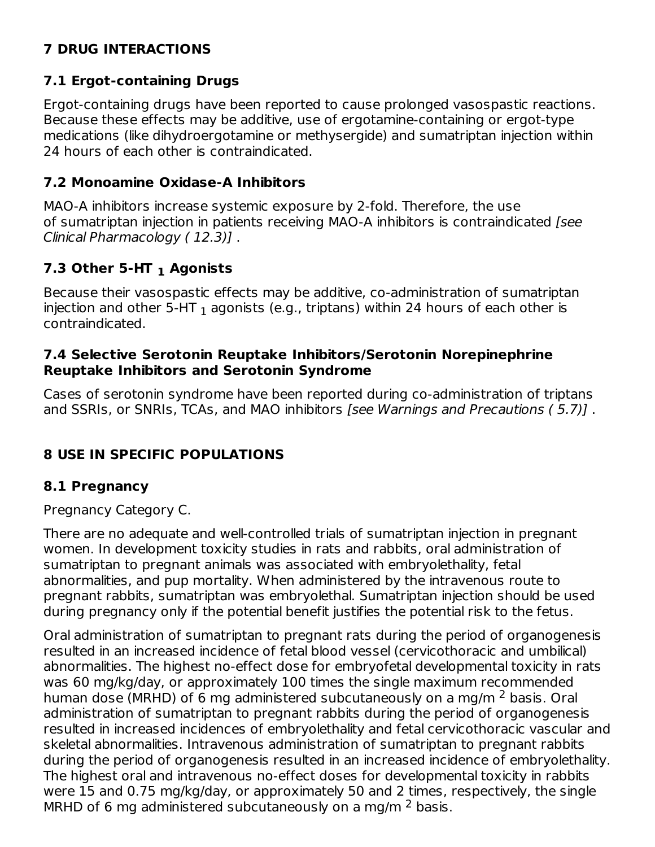## **7 DRUG INTERACTIONS**

#### **7.1 Ergot-containing Drugs**

Ergot-containing drugs have been reported to cause prolonged vasospastic reactions. Because these effects may be additive, use of ergotamine-containing or ergot-type medications (like dihydroergotamine or methysergide) and sumatriptan injection within 24 hours of each other is contraindicated.

#### **7.2 Monoamine Oxidase-A Inhibitors**

MAO-A inhibitors increase systemic exposure by 2-fold. Therefore, the use of sumatriptan injection in patients receiving MAO-A inhibitors is contraindicated [see Clinical Pharmacology ( 12.3)] .

## **7.3 Other 5-HT Agonists 1**

Because their vasospastic effects may be additive, co-administration of sumatriptan injection and other 5-HT  $_{\rm 1}$  agonists (e.g., triptans) within 24 hours of each other is contraindicated.

#### **7.4 Selective Serotonin Reuptake Inhibitors/Serotonin Norepinephrine Reuptake Inhibitors and Serotonin Syndrome**

Cases of serotonin syndrome have been reported during co-administration of triptans and SSRIs, or SNRIs, TCAs, and MAO inhibitors [see Warnings and Precautions ( 5.7)] .

## **8 USE IN SPECIFIC POPULATIONS**

#### **8.1 Pregnancy**

Pregnancy Category C.

There are no adequate and well-controlled trials of sumatriptan injection in pregnant women. In development toxicity studies in rats and rabbits, oral administration of sumatriptan to pregnant animals was associated with embryolethality, fetal abnormalities, and pup mortality. When administered by the intravenous route to pregnant rabbits, sumatriptan was embryolethal. Sumatriptan injection should be used during pregnancy only if the potential benefit justifies the potential risk to the fetus.

Oral administration of sumatriptan to pregnant rats during the period of organogenesis resulted in an increased incidence of fetal blood vessel (cervicothoracic and umbilical) abnormalities. The highest no-effect dose for embryofetal developmental toxicity in rats was 60 mg/kg/day, or approximately 100 times the single maximum recommended human dose (MRHD) of 6 mg administered subcutaneously on a mg/m <sup>2</sup> basis. Oral administration of sumatriptan to pregnant rabbits during the period of organogenesis resulted in increased incidences of embryolethality and fetal cervicothoracic vascular and skeletal abnormalities. Intravenous administration of sumatriptan to pregnant rabbits during the period of organogenesis resulted in an increased incidence of embryolethality. The highest oral and intravenous no-effect doses for developmental toxicity in rabbits were 15 and 0.75 mg/kg/day, or approximately 50 and 2 times, respectively, the single MRHD of 6 mg administered subcutaneously on a mg/m  $^2$  basis.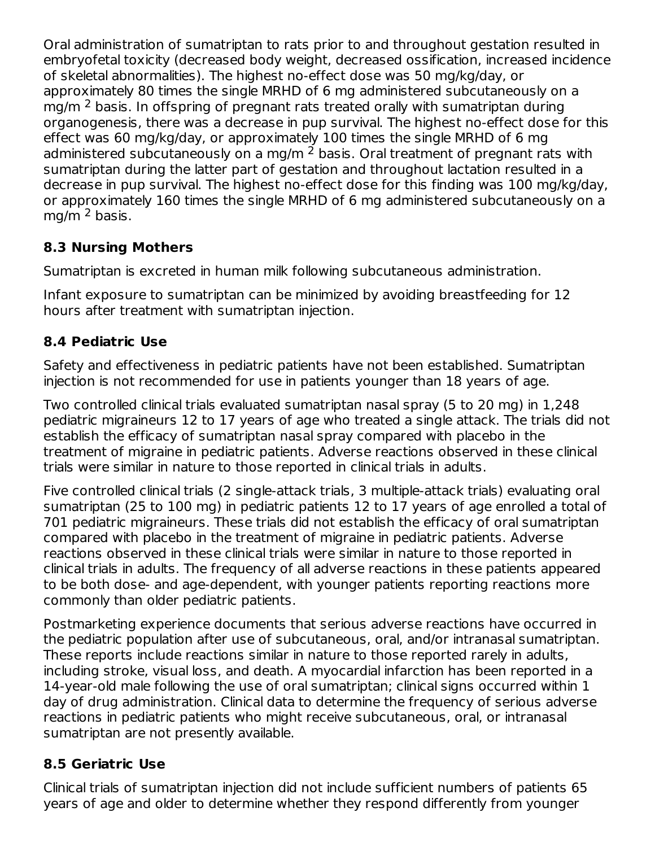Oral administration of sumatriptan to rats prior to and throughout gestation resulted in embryofetal toxicity (decreased body weight, decreased ossification, increased incidence of skeletal abnormalities). The highest no-effect dose was 50 mg/kg/day, or approximately 80 times the single MRHD of 6 mg administered subcutaneously on a mg/m  $^2$  basis. In offspring of pregnant rats treated orally with sumatriptan during organogenesis, there was a decrease in pup survival. The highest no-effect dose for this effect was 60 mg/kg/day, or approximately 100 times the single MRHD of 6 mg administered subcutaneously on a mg/m  $^2$  basis. Oral treatment of pregnant rats with sumatriptan during the latter part of gestation and throughout lactation resulted in a decrease in pup survival. The highest no-effect dose for this finding was 100 mg/kg/day, or approximately 160 times the single MRHD of 6 mg administered subcutaneously on a mg/m <sup>2</sup> basis.

## **8.3 Nursing Mothers**

Sumatriptan is excreted in human milk following subcutaneous administration.

Infant exposure to sumatriptan can be minimized by avoiding breastfeeding for 12 hours after treatment with sumatriptan injection.

## **8.4 Pediatric Use**

Safety and effectiveness in pediatric patients have not been established. Sumatriptan injection is not recommended for use in patients younger than 18 years of age.

Two controlled clinical trials evaluated sumatriptan nasal spray (5 to 20 mg) in 1,248 pediatric migraineurs 12 to 17 years of age who treated a single attack. The trials did not establish the efficacy of sumatriptan nasal spray compared with placebo in the treatment of migraine in pediatric patients. Adverse reactions observed in these clinical trials were similar in nature to those reported in clinical trials in adults.

Five controlled clinical trials (2 single-attack trials, 3 multiple-attack trials) evaluating oral sumatriptan (25 to 100 mg) in pediatric patients 12 to 17 years of age enrolled a total of 701 pediatric migraineurs. These trials did not establish the efficacy of oral sumatriptan compared with placebo in the treatment of migraine in pediatric patients. Adverse reactions observed in these clinical trials were similar in nature to those reported in clinical trials in adults. The frequency of all adverse reactions in these patients appeared to be both dose- and age-dependent, with younger patients reporting reactions more commonly than older pediatric patients.

Postmarketing experience documents that serious adverse reactions have occurred in the pediatric population after use of subcutaneous, oral, and/or intranasal sumatriptan. These reports include reactions similar in nature to those reported rarely in adults, including stroke, visual loss, and death. A myocardial infarction has been reported in a 14-year-old male following the use of oral sumatriptan; clinical signs occurred within 1 day of drug administration. Clinical data to determine the frequency of serious adverse reactions in pediatric patients who might receive subcutaneous, oral, or intranasal sumatriptan are not presently available.

## **8.5 Geriatric Use**

Clinical trials of sumatriptan injection did not include sufficient numbers of patients 65 years of age and older to determine whether they respond differently from younger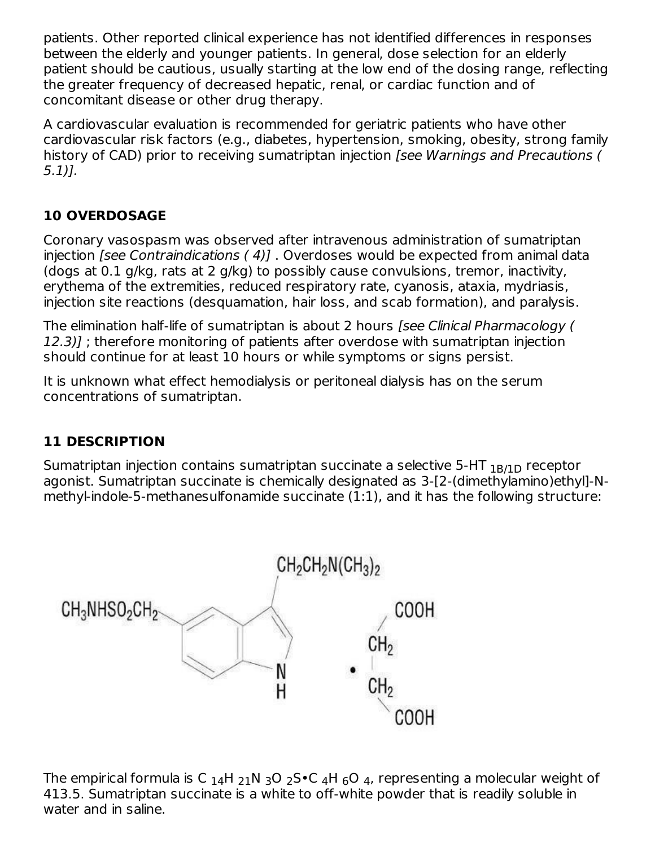patients. Other reported clinical experience has not identified differences in responses between the elderly and younger patients. In general, dose selection for an elderly patient should be cautious, usually starting at the low end of the dosing range, reflecting the greater frequency of decreased hepatic, renal, or cardiac function and of concomitant disease or other drug therapy.

A cardiovascular evaluation is recommended for geriatric patients who have other cardiovascular risk factors (e.g., diabetes, hypertension, smoking, obesity, strong family history of CAD) prior to receiving sumatriptan injection (see Warnings and Precautions ( 5.1)].

## **10 OVERDOSAGE**

Coronary vasospasm was observed after intravenous administration of sumatriptan injection [see Contraindications ( 4)] . Overdoses would be expected from animal data (dogs at 0.1 g/kg, rats at 2 g/kg) to possibly cause convulsions, tremor, inactivity, erythema of the extremities, reduced respiratory rate, cyanosis, ataxia, mydriasis, injection site reactions (desquamation, hair loss, and scab formation), and paralysis.

The elimination half-life of sumatriptan is about 2 hours *[see Clinical Pharmacology (* 12.3)] ; therefore monitoring of patients after overdose with sumatriptan injection should continue for at least 10 hours or while symptoms or signs persist.

It is unknown what effect hemodialysis or peritoneal dialysis has on the serum concentrations of sumatriptan.

## **11 DESCRIPTION**

Sumatriptan injection contains sumatriptan succinate a selective 5-HT  $_{\rm 1B/1D}$  receptor agonist. Sumatriptan succinate is chemically designated as 3-[2-(dimethylamino)ethyl]-Nmethyl-indole-5-methanesulfonamide succinate (1:1), and it has the following structure:



The empirical formula is C  $_{14}$ H  $_{21}$ N  $_{3}$ O  $_{2}$ S $\bullet$ C  $_{4}$ H  $_{6}$ O  $_{4}$ , representing a molecular weight of 413.5. Sumatriptan succinate is a white to off-white powder that is readily soluble in water and in saline.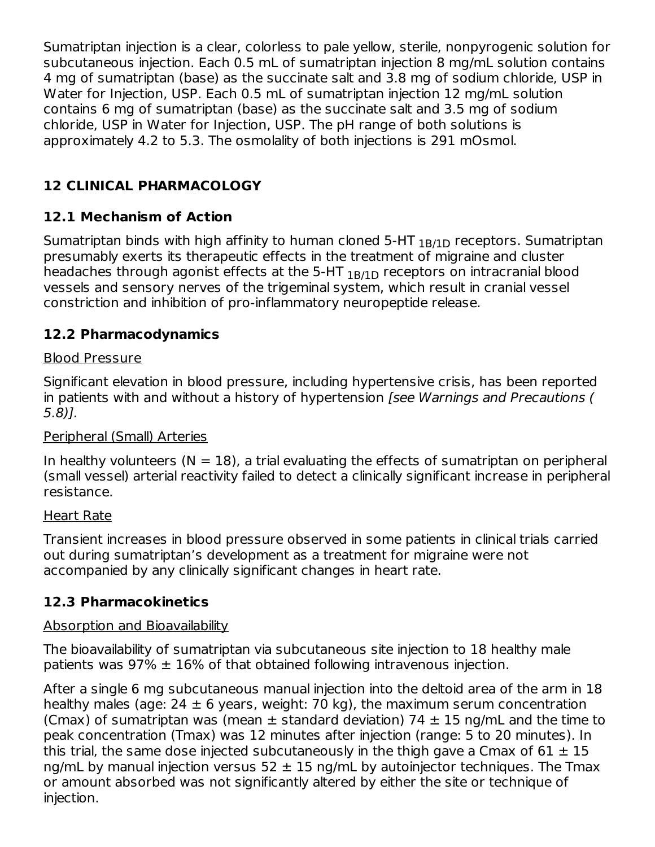Sumatriptan injection is a clear, colorless to pale yellow, sterile, nonpyrogenic solution for subcutaneous injection. Each 0.5 mL of sumatriptan injection 8 mg/mL solution contains 4 mg of sumatriptan (base) as the succinate salt and 3.8 mg of sodium chloride, USP in Water for Injection, USP. Each 0.5 mL of sumatriptan injection 12 mg/mL solution contains 6 mg of sumatriptan (base) as the succinate salt and 3.5 mg of sodium chloride, USP in Water for Injection, USP. The pH range of both solutions is approximately 4.2 to 5.3. The osmolality of both injections is 291 mOsmol.

## **12 CLINICAL PHARMACOLOGY**

## **12.1 Mechanism of Action**

Sumatriptan binds with high affinity to human cloned 5-HT  $_{\rm 1B/1D}$  receptors. Sumatriptan presumably exerts its therapeutic effects in the treatment of migraine and cluster headaches through agonist effects at the 5-HT  $_{\rm 1B/1D}$  receptors on intracranial blood vessels and sensory nerves of the trigeminal system, which result in cranial vessel constriction and inhibition of pro-inflammatory neuropeptide release.

## **12.2 Pharmacodynamics**

#### Blood Pressure

Significant elevation in blood pressure, including hypertensive crisis, has been reported in patients with and without a history of hypertension *[see Warnings and Precautions (* 5.8)].

#### Peripheral (Small) Arteries

In healthy volunteers  $(N = 18)$ , a trial evaluating the effects of sumatriptan on peripheral (small vessel) arterial reactivity failed to detect a clinically significant increase in peripheral resistance.

#### Heart Rate

Transient increases in blood pressure observed in some patients in clinical trials carried out during sumatriptan's development as a treatment for migraine were not accompanied by any clinically significant changes in heart rate.

#### **12.3 Pharmacokinetics**

#### Absorption and Bioavailability

The bioavailability of sumatriptan via subcutaneous site injection to 18 healthy male patients was  $97\% \pm 16\%$  of that obtained following intravenous injection.

After a single 6 mg subcutaneous manual injection into the deltoid area of the arm in 18 healthy males (age:  $24 \pm 6$  years, weight: 70 kg), the maximum serum concentration (Cmax) of sumatriptan was (mean  $\pm$  standard deviation) 74  $\pm$  15 ng/mL and the time to peak concentration (Tmax) was 12 minutes after injection (range: 5 to 20 minutes). In this trial, the same dose injected subcutaneously in the thigh gave a Cmax of  $61 \pm 15$ ng/mL by manual injection versus  $52 \pm 15$  ng/mL by autoinjector techniques. The Tmax or amount absorbed was not significantly altered by either the site or technique of injection.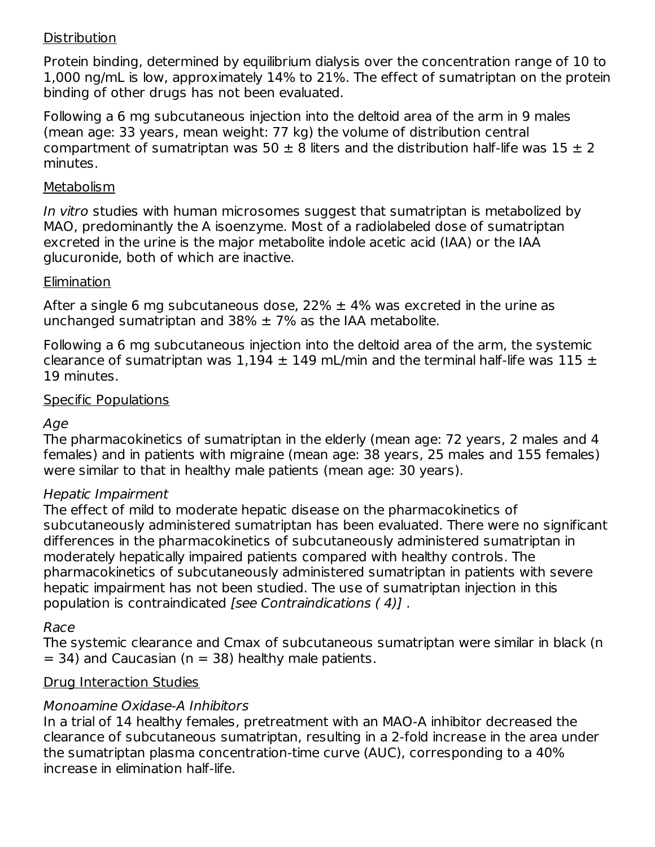#### **Distribution**

Protein binding, determined by equilibrium dialysis over the concentration range of 10 to 1,000 ng/mL is low, approximately 14% to 21%. The effect of sumatriptan on the protein binding of other drugs has not been evaluated.

Following a 6 mg subcutaneous injection into the deltoid area of the arm in 9 males (mean age: 33 years, mean weight: 77 kg) the volume of distribution central compartment of sumatriptan was 50  $\pm$  8 liters and the distribution half-life was 15  $\pm$  2 minutes.

#### Metabolism

In vitro studies with human microsomes suggest that sumatriptan is metabolized by MAO, predominantly the A isoenzyme. Most of a radiolabeled dose of sumatriptan excreted in the urine is the major metabolite indole acetic acid (IAA) or the IAA glucuronide, both of which are inactive.

#### Elimination

After a single 6 mg subcutaneous dose, 22%  $\pm$  4% was excreted in the urine as unchanged sumatriptan and 38%  $\pm$  7% as the IAA metabolite.

Following a 6 mg subcutaneous injection into the deltoid area of the arm, the systemic clearance of sumatriptan was 1,194  $\pm$  149 mL/min and the terminal half-life was 115  $\pm$ 19 minutes.

#### Specific Populations

#### Age

The pharmacokinetics of sumatriptan in the elderly (mean age: 72 years, 2 males and 4 females) and in patients with migraine (mean age: 38 years, 25 males and 155 females) were similar to that in healthy male patients (mean age: 30 years).

#### Hepatic Impairment

The effect of mild to moderate hepatic disease on the pharmacokinetics of subcutaneously administered sumatriptan has been evaluated. There were no significant differences in the pharmacokinetics of subcutaneously administered sumatriptan in moderately hepatically impaired patients compared with healthy controls. The pharmacokinetics of subcutaneously administered sumatriptan in patients with severe hepatic impairment has not been studied. The use of sumatriptan injection in this population is contraindicated [see Contraindications ( 4)] .

#### Race

The systemic clearance and Cmax of subcutaneous sumatriptan were similar in black (n  $=$  34) and Caucasian (n  $=$  38) healthy male patients.

#### Drug Interaction Studies

#### Monoamine Oxidase-A Inhibitors

In a trial of 14 healthy females, pretreatment with an MAO-A inhibitor decreased the clearance of subcutaneous sumatriptan, resulting in a 2-fold increase in the area under the sumatriptan plasma concentration-time curve (AUC), corresponding to a 40% increase in elimination half-life.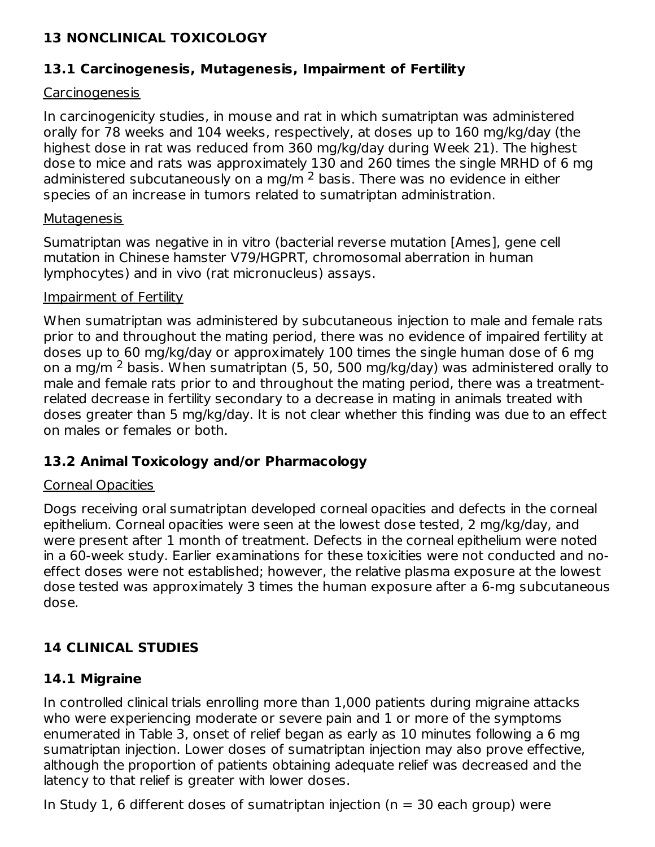## **13 NONCLINICAL TOXICOLOGY**

#### **13.1 Carcinogenesis, Mutagenesis, Impairment of Fertility**

#### **Carcinogenesis**

In carcinogenicity studies, in mouse and rat in which sumatriptan was administered orally for 78 weeks and 104 weeks, respectively, at doses up to 160 mg/kg/day (the highest dose in rat was reduced from 360 mg/kg/day during Week 21). The highest dose to mice and rats was approximately 130 and 260 times the single MRHD of 6 mg administered subcutaneously on a mg/m  $^2$  basis. There was no evidence in either species of an increase in tumors related to sumatriptan administration.

#### **Mutagenesis**

Sumatriptan was negative in in vitro (bacterial reverse mutation [Ames], gene cell mutation in Chinese hamster V79/HGPRT, chromosomal aberration in human lymphocytes) and in vivo (rat micronucleus) assays.

#### Impairment of Fertility

When sumatriptan was administered by subcutaneous injection to male and female rats prior to and throughout the mating period, there was no evidence of impaired fertility at doses up to 60 mg/kg/day or approximately 100 times the single human dose of 6 mg on a mg/m <sup>2</sup> basis. When sumatriptan (5, 50, 500 mg/kg/day) was administered orally to male and female rats prior to and throughout the mating period, there was a treatmentrelated decrease in fertility secondary to a decrease in mating in animals treated with doses greater than 5 mg/kg/day. It is not clear whether this finding was due to an effect on males or females or both.

#### **13.2 Animal Toxicology and/or Pharmacology**

#### Corneal Opacities

Dogs receiving oral sumatriptan developed corneal opacities and defects in the corneal epithelium. Corneal opacities were seen at the lowest dose tested, 2 mg/kg/day, and were present after 1 month of treatment. Defects in the corneal epithelium were noted in a 60-week study. Earlier examinations for these toxicities were not conducted and noeffect doses were not established; however, the relative plasma exposure at the lowest dose tested was approximately 3 times the human exposure after a 6-mg subcutaneous dose.

#### **14 CLINICAL STUDIES**

#### **14.1 Migraine**

In controlled clinical trials enrolling more than 1,000 patients during migraine attacks who were experiencing moderate or severe pain and 1 or more of the symptoms enumerated in Table 3, onset of relief began as early as 10 minutes following a 6 mg sumatriptan injection. Lower doses of sumatriptan injection may also prove effective, although the proportion of patients obtaining adequate relief was decreased and the latency to that relief is greater with lower doses.

In Study 1, 6 different doses of sumatriptan injection ( $n = 30$  each group) were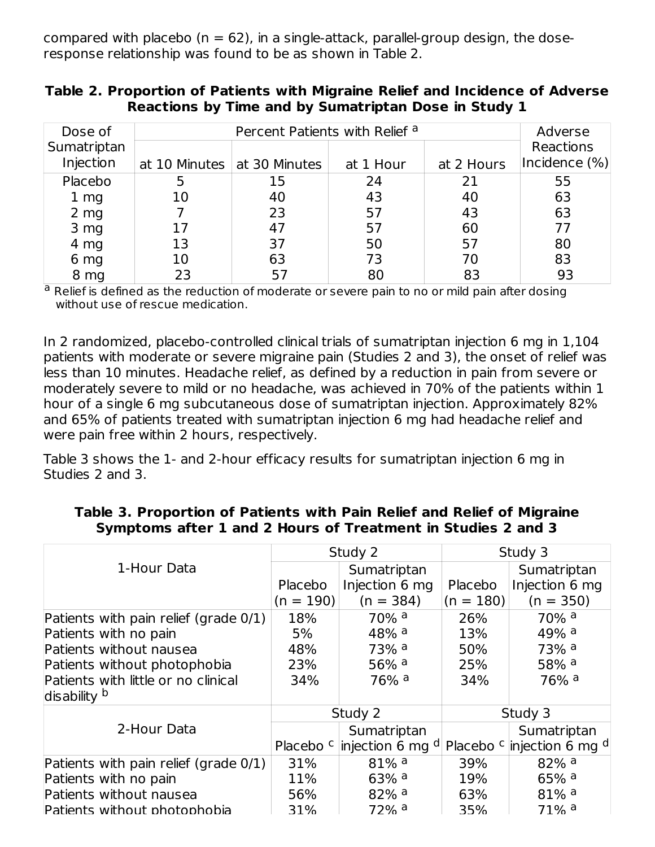compared with placebo ( $n = 62$ ), in a single-attack, parallel-group design, the doseresponse relationship was found to be as shown in Table 2.

| Table 2. Proportion of Patients with Migraine Relief and Incidence of Adverse |  |
|-------------------------------------------------------------------------------|--|
| Reactions by Time and by Sumatriptan Dose in Study 1                          |  |

| Dose of         |    | Adverse                       |           |            |               |
|-----------------|----|-------------------------------|-----------|------------|---------------|
| Sumatriptan     |    |                               |           |            | Reactions     |
| Injection       |    | at 10 Minutes   at 30 Minutes | at 1 Hour | at 2 Hours | Incidence (%) |
| Placebo         |    | 15                            | 24        | 21         | 55            |
| 1 <sub>mg</sub> | 10 | 40                            | 43        | 40         | 63            |
| 2 <sub>mg</sub> |    | 23                            | 57        | 43         | 63            |
| 3 mg            | 17 | 47                            | 57        | 60         | 77            |
| 4 mg            | 13 | 37                            | 50        | 57         | 80            |
| 6 mg            | 10 | 63                            | 73        | 70         | 83            |
| 8 mg            | 23 | 57                            | 80        | 83         | 93            |

<sup>a</sup> Relief is defined as the reduction of moderate or severe pain to no or mild pain after dosing without use of rescue medication.

In 2 randomized, placebo-controlled clinical trials of sumatriptan injection 6 mg in 1,104 patients with moderate or severe migraine pain (Studies 2 and 3), the onset of relief was less than 10 minutes. Headache relief, as defined by a reduction in pain from severe or moderately severe to mild or no headache, was achieved in 70% of the patients within 1 hour of a single 6 mg subcutaneous dose of sumatriptan injection. Approximately 82% and 65% of patients treated with sumatriptan injection 6 mg had headache relief and were pain free within 2 hours, respectively.

Table 3 shows the 1- and 2-hour efficacy results for sumatriptan injection 6 mg in Studies 2 and 3.

#### **Table 3. Proportion of Patients with Pain Relief and Relief of Migraine Symptoms after 1 and 2 Hours of Treatment in Studies 2 and 3**

|                                          |             | Study 2                                          |             | Study 3                                          |
|------------------------------------------|-------------|--------------------------------------------------|-------------|--------------------------------------------------|
| 1-Hour Data                              |             | Sumatriptan                                      |             | Sumatriptan                                      |
|                                          | Placebo     | Injection 6 mg                                   | Placebo     | Injection 6 mg                                   |
|                                          | $(n = 190)$ | $(n = 384)$                                      | $(n = 180)$ | $(n = 350)$                                      |
| Patients with pain relief (grade $0/1$ ) | 18%         | $70\%$ <sup>a</sup>                              | 26%         | $70\%$ <sup>a</sup>                              |
| Patients with no pain                    | 5%          | $48%$ <sup>a</sup>                               | 13%         | $49%$ <sup>a</sup>                               |
| Patients without nausea                  | 48%         | $73%$ <sup>a</sup>                               | 50%         | $73%$ <sup>a</sup>                               |
| Patients without photophobia             | 23%         | 56% $a$                                          | 25%         | $58%$ <sup>a</sup>                               |
| Patients with little or no clinical      | 34%         | 76% <sup>a</sup>                                 | 34%         | 76% <sup>a</sup>                                 |
| disability b                             |             |                                                  |             |                                                  |
|                                          |             | Study 2                                          |             | Study 3                                          |
| 2-Hour Data                              |             | Sumatriptan                                      |             | Sumatriptan                                      |
|                                          |             | Placebo <sup>c</sup> injection 6 mg <sup>d</sup> |             | Placebo <sup>c</sup> injection 6 mg <sup>d</sup> |
| Patients with pain relief (grade 0/1)    | 31%         | $81\%$ <sup>a</sup>                              | 39%         | $82\%$ <sup>a</sup>                              |
| Patients with no pain                    | 11%         | $63\%$ <sup>a</sup>                              | 19%         | $65%$ <sup>a</sup>                               |
| Patients without nausea                  | 56%         | $82\%$ <sup>a</sup>                              | 63%         | $81\%$ <sup>a</sup>                              |
| Patients without photophobia             | 31%         | $72%$ <sup>a</sup>                               | 35%         | $71\%$ <sup>a</sup>                              |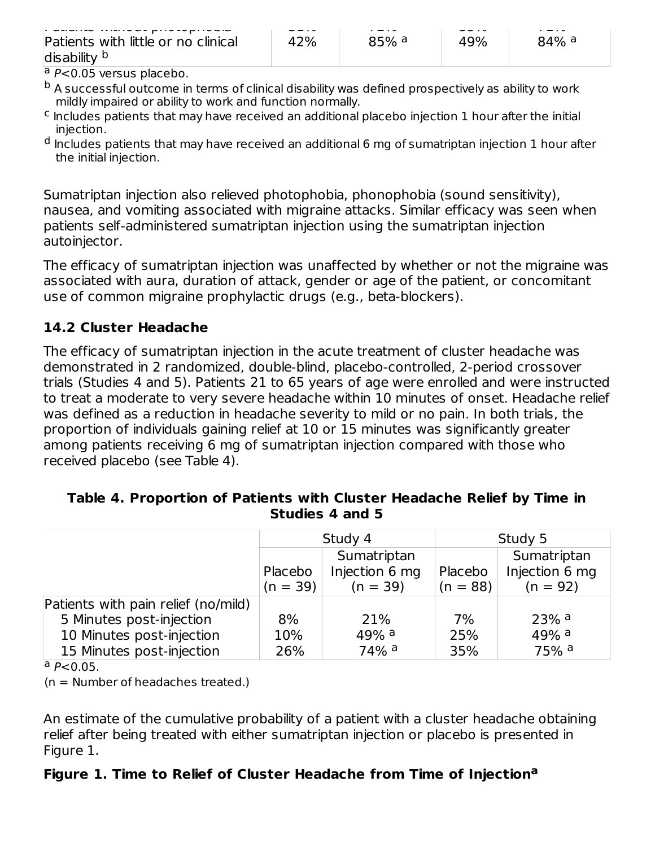| .                                                              | $- - -$ | $\cdot$ $ \cdot$ $\cdot$ | $- - - -$ | - -              |
|----------------------------------------------------------------|---------|--------------------------|-----------|------------------|
| Patients with little or no clinical<br>disability <sup>b</sup> | 42%     | 85% <sup>a</sup>         | 49%       | 84% <sup>a</sup> |
| $\sim$                                                         |         |                          |           |                  |

<sup>a</sup> P<0.05 versus placebo.

- $^{\rm b}$  A successful outcome in terms of clinical disability was defined prospectively as ability to work mildly impaired or ability to work and function normally.
- $\textsf{c}$  Includes patients that may have received an additional placebo injection 1 hour after the initial injection.
- $^{\mathsf{d}}$  Includes patients that may have received an additional 6 mg of sumatriptan injection 1 hour after the initial injection.

Sumatriptan injection also relieved photophobia, phonophobia (sound sensitivity), nausea, and vomiting associated with migraine attacks. Similar efficacy was seen when patients self-administered sumatriptan injection using the sumatriptan injection autoinjector.

The efficacy of sumatriptan injection was unaffected by whether or not the migraine was associated with aura, duration of attack, gender or age of the patient, or concomitant use of common migraine prophylactic drugs (e.g., beta-blockers).

#### **14.2 Cluster Headache**

The efficacy of sumatriptan injection in the acute treatment of cluster headache was demonstrated in 2 randomized, double-blind, placebo-controlled, 2-period crossover trials (Studies 4 and 5). Patients 21 to 65 years of age were enrolled and were instructed to treat a moderate to very severe headache within 10 minutes of onset. Headache relief was defined as a reduction in headache severity to mild or no pain. In both trials, the proportion of individuals gaining relief at 10 or 15 minutes was significantly greater among patients receiving 6 mg of sumatriptan injection compared with those who received placebo (see Table 4).

#### **Table 4. Proportion of Patients with Cluster Headache Relief by Time in Studies 4 and 5**

|                                     |                       | Study 4                                     | Study 5               |                                             |  |
|-------------------------------------|-----------------------|---------------------------------------------|-----------------------|---------------------------------------------|--|
|                                     | Placebo<br>$(n = 39)$ | Sumatriptan<br>Injection 6 mg<br>$(n = 39)$ | Placebo<br>$(n = 88)$ | Sumatriptan<br>Injection 6 mg<br>$(n = 92)$ |  |
| Patients with pain relief (no/mild) |                       |                                             |                       |                                             |  |
| 5 Minutes post-injection            | 8%                    | 21%                                         | 7%                    | $23%$ <sup>a</sup>                          |  |
| 10 Minutes post-injection           | 10%                   | 49% a                                       | 25%                   | $49%$ <sup>a</sup>                          |  |
| 15 Minutes post-injection           | 26%                   | $74%$ <sup>a</sup>                          | 35%                   | 75% a                                       |  |

 $a P < 0.05$ .

(n = Number of headaches treated.)

An estimate of the cumulative probability of a patient with a cluster headache obtaining relief after being treated with either sumatriptan injection or placebo is presented in Figure 1.

#### **Figure 1. Time to Relief of Cluster Headache from Time of Injection a**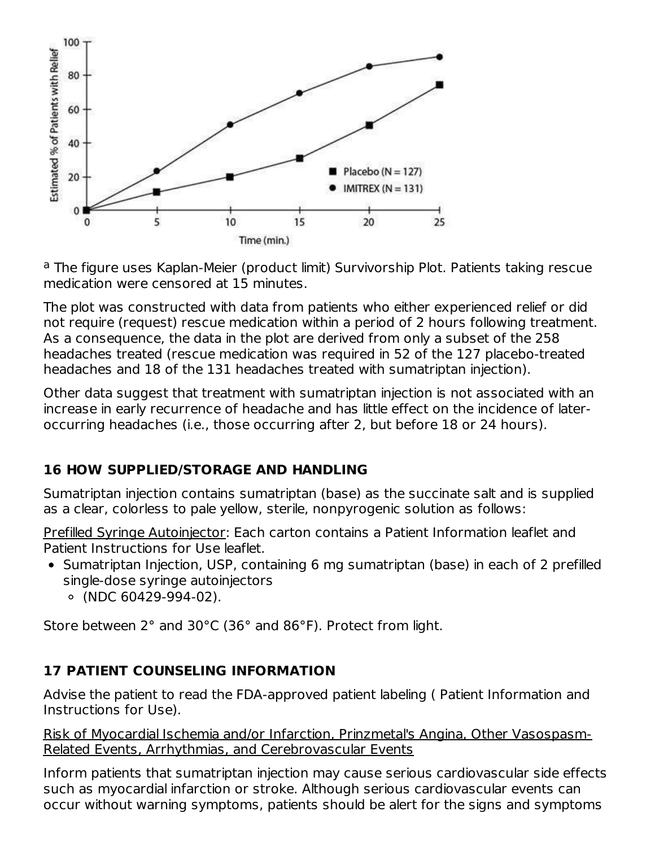

<sup>a</sup> The figure uses Kaplan-Meier (product limit) Survivorship Plot. Patients taking rescue medication were censored at 15 minutes.

The plot was constructed with data from patients who either experienced relief or did not require (request) rescue medication within a period of 2 hours following treatment. As a consequence, the data in the plot are derived from only a subset of the 258 headaches treated (rescue medication was required in 52 of the 127 placebo-treated headaches and 18 of the 131 headaches treated with sumatriptan injection).

Other data suggest that treatment with sumatriptan injection is not associated with an increase in early recurrence of headache and has little effect on the incidence of lateroccurring headaches (i.e., those occurring after 2, but before 18 or 24 hours).

## **16 HOW SUPPLIED/STORAGE AND HANDLING**

Sumatriptan injection contains sumatriptan (base) as the succinate salt and is supplied as a clear, colorless to pale yellow, sterile, nonpyrogenic solution as follows:

Prefilled Syringe Autoinjector: Each carton contains a Patient Information leaflet and Patient Instructions for Use leaflet.

- Sumatriptan Injection, USP, containing 6 mg sumatriptan (base) in each of 2 prefilled single-dose syringe autoinjectors
	- (NDC 60429-994-02).

Store between 2° and 30°C (36° and 86°F). Protect from light.

## **17 PATIENT COUNSELING INFORMATION**

Advise the patient to read the FDA-approved patient labeling ( Patient Information and Instructions for Use).

Risk of Myocardial Ischemia and/or Infarction, Prinzmetal's Angina, Other Vasospasm-Related Events, Arrhythmias, and Cerebrovascular Events

Inform patients that sumatriptan injection may cause serious cardiovascular side effects such as myocardial infarction or stroke. Although serious cardiovascular events can occur without warning symptoms, patients should be alert for the signs and symptoms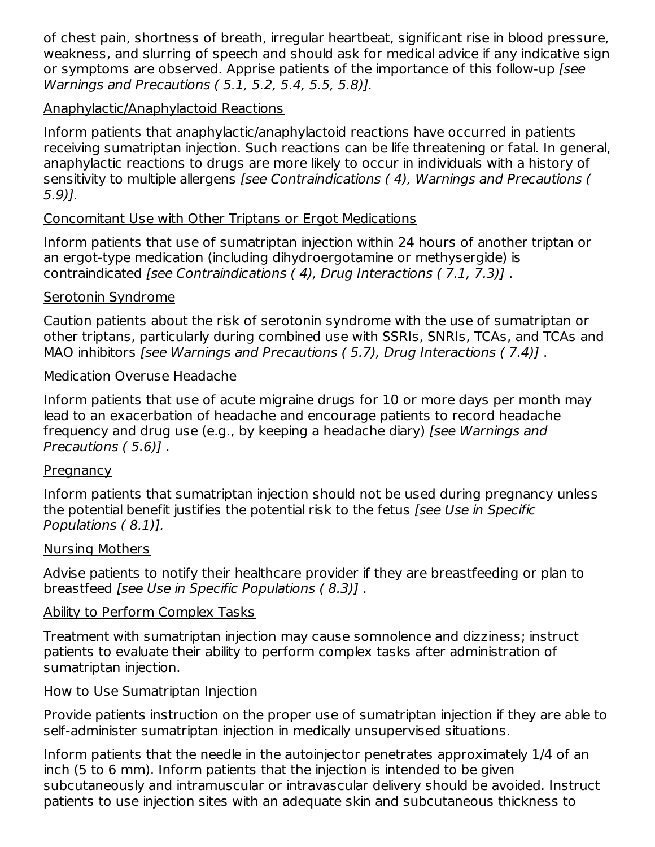of chest pain, shortness of breath, irregular heartbeat, significant rise in blood pressure, weakness, and slurring of speech and should ask for medical advice if any indicative sign or symptoms are observed. Apprise patients of the importance of this follow-up [see Warnings and Precautions ( 5.1, 5.2, 5.4, 5.5, 5.8)].

#### Anaphylactic/Anaphylactoid Reactions

Inform patients that anaphylactic/anaphylactoid reactions have occurred in patients receiving sumatriptan injection. Such reactions can be life threatening or fatal. In general, anaphylactic reactions to drugs are more likely to occur in individuals with a history of sensitivity to multiple allergens [see Contraindications ( 4), Warnings and Precautions ( 5.9)].

#### Concomitant Use with Other Triptans or Ergot Medications

Inform patients that use of sumatriptan injection within 24 hours of another triptan or an ergot-type medication (including dihydroergotamine or methysergide) is contraindicated [see Contraindications ( 4), Drug Interactions ( 7.1, 7.3)] .

#### Serotonin Syndrome

Caution patients about the risk of serotonin syndrome with the use of sumatriptan or other triptans, particularly during combined use with SSRIs, SNRIs, TCAs, and TCAs and MAO inhibitors [see Warnings and Precautions ( 5.7), Drug Interactions ( 7.4)] .

#### Medication Overuse Headache

Inform patients that use of acute migraine drugs for 10 or more days per month may lead to an exacerbation of headache and encourage patients to record headache frequency and drug use (e.g., by keeping a headache diary) [see Warnings and Precautions ( 5.6)] .

#### **Pregnancy**

Inform patients that sumatriptan injection should not be used during pregnancy unless the potential benefit justifies the potential risk to the fetus [see Use in Specific Populations ( 8.1)].

#### Nursing Mothers

Advise patients to notify their healthcare provider if they are breastfeeding or plan to breastfeed [see Use in Specific Populations ( 8.3)] .

#### Ability to Perform Complex Tasks

Treatment with sumatriptan injection may cause somnolence and dizziness; instruct patients to evaluate their ability to perform complex tasks after administration of sumatriptan injection.

#### How to Use Sumatriptan Injection

Provide patients instruction on the proper use of sumatriptan injection if they are able to self-administer sumatriptan injection in medically unsupervised situations.

Inform patients that the needle in the autoinjector penetrates approximately 1/4 of an inch (5 to 6 mm). Inform patients that the injection is intended to be given subcutaneously and intramuscular or intravascular delivery should be avoided. Instruct patients to use injection sites with an adequate skin and subcutaneous thickness to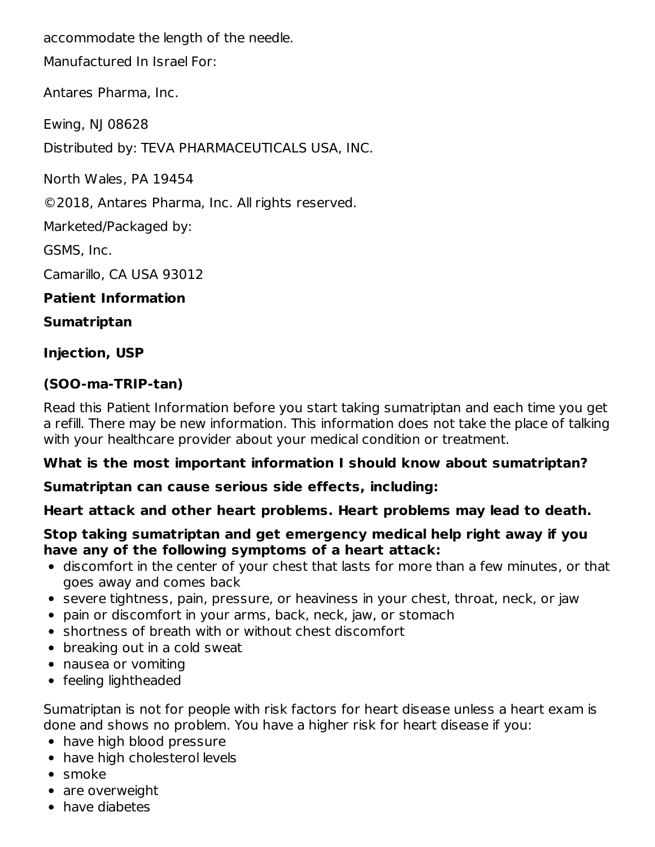accommodate the length of the needle.

Manufactured In Israel For:

Antares Pharma, Inc.

Ewing, NJ 08628

Distributed by: TEVA PHARMACEUTICALS USA, INC.

North Wales, PA 19454

©2018, Antares Pharma, Inc. All rights reserved.

Marketed/Packaged by:

GSMS, Inc.

Camarillo, CA USA 93012

#### **Patient Information**

#### **Sumatriptan**

#### **Injection, USP**

#### **(SOO-ma-TRIP-tan)**

Read this Patient Information before you start taking sumatriptan and each time you get a refill. There may be new information. This information does not take the place of talking with your healthcare provider about your medical condition or treatment.

#### **What is the most important information I should know about sumatriptan?**

#### **Sumatriptan can cause serious side effects, including:**

#### **Heart attack and other heart problems. Heart problems may lead to death.**

#### **Stop taking sumatriptan and get emergency medical help right away if you have any of the following symptoms of a heart attack:**

- discomfort in the center of your chest that lasts for more than a few minutes, or that goes away and comes back
- severe tightness, pain, pressure, or heaviness in your chest, throat, neck, or jaw
- pain or discomfort in your arms, back, neck, jaw, or stomach
- shortness of breath with or without chest discomfort
- breaking out in a cold sweat
- nausea or vomiting
- feeling lightheaded

Sumatriptan is not for people with risk factors for heart disease unless a heart exam is done and shows no problem. You have a higher risk for heart disease if you:

- have high blood pressure
- have high cholesterol levels
- smoke
- are overweight
- have diabetes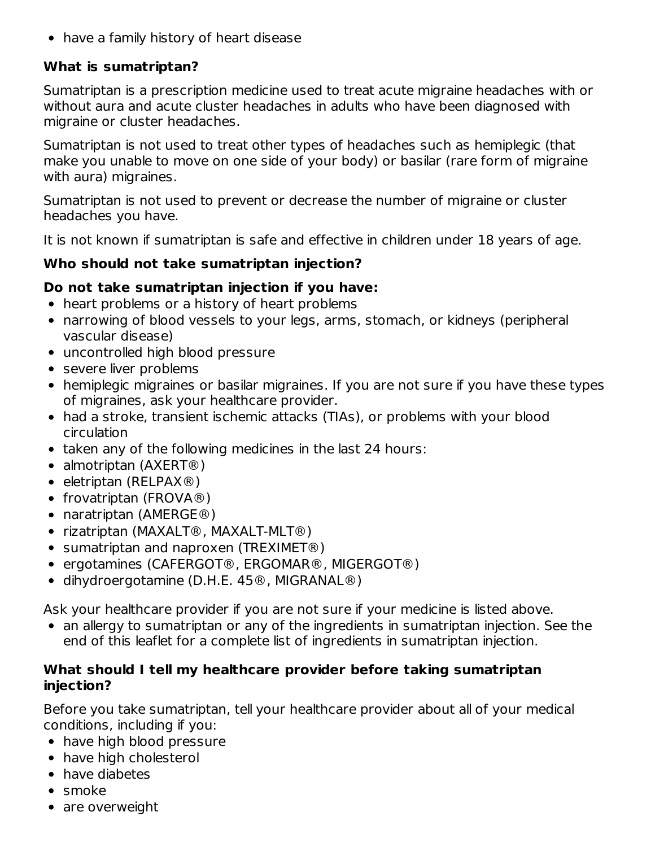• have a family history of heart disease

## **What is sumatriptan?**

Sumatriptan is a prescription medicine used to treat acute migraine headaches with or without aura and acute cluster headaches in adults who have been diagnosed with migraine or cluster headaches.

Sumatriptan is not used to treat other types of headaches such as hemiplegic (that make you unable to move on one side of your body) or basilar (rare form of migraine with aura) migraines.

Sumatriptan is not used to prevent or decrease the number of migraine or cluster headaches you have.

It is not known if sumatriptan is safe and effective in children under 18 years of age.

## **Who should not take sumatriptan injection?**

## **Do not take sumatriptan injection if you have:**

- heart problems or a history of heart problems
- narrowing of blood vessels to your legs, arms, stomach, or kidneys (peripheral vascular disease)
- uncontrolled high blood pressure
- severe liver problems
- hemiplegic migraines or basilar migraines. If you are not sure if you have these types of migraines, ask your healthcare provider.
- had a stroke, transient ischemic attacks (TIAs), or problems with your blood circulation
- taken any of the following medicines in the last 24 hours:
- almotriptan (AXERT<sup>®</sup>)
- $\bullet$  eletriptan (RELPAX®)
- frovatriptan (FROVA®)
- naratriptan (AMERGE®)
- rizatriptan (MAXALT®, MAXALT-MLT®)
- sumatriptan and naproxen (TREXIMET<sup>®</sup>)
- ergotamines (CAFERGOT®, ERGOMAR®, MIGERGOT®)
- dihydroergotamine (D.H.E. 45®, MIGRANAL®)

Ask your healthcare provider if you are not sure if your medicine is listed above.

• an allergy to sumatriptan or any of the ingredients in sumatriptan injection. See the end of this leaflet for a complete list of ingredients in sumatriptan injection.

#### **What should I tell my healthcare provider before taking sumatriptan injection?**

Before you take sumatriptan, tell your healthcare provider about all of your medical conditions, including if you:

- have high blood pressure
- have high cholesterol
- have diabetes
- smoke
- are overweight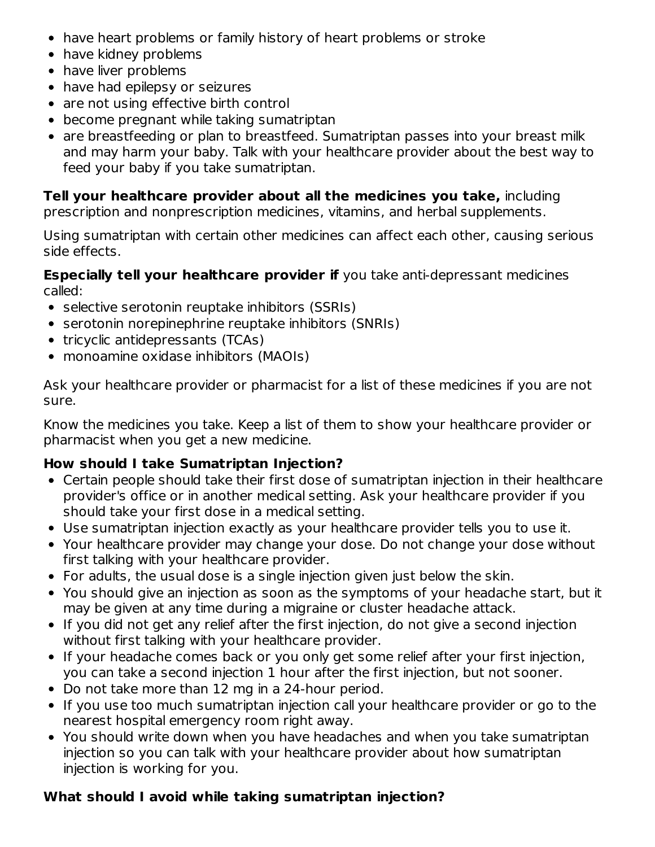- have heart problems or family history of heart problems or stroke
- have kidney problems
- have liver problems
- have had epilepsy or seizures
- are not using effective birth control
- become pregnant while taking sumatriptan
- are breastfeeding or plan to breastfeed. Sumatriptan passes into your breast milk and may harm your baby. Talk with your healthcare provider about the best way to feed your baby if you take sumatriptan.

#### **Tell your healthcare provider about all the medicines you take,** including

prescription and nonprescription medicines, vitamins, and herbal supplements.

Using sumatriptan with certain other medicines can affect each other, causing serious side effects.

**Especially tell your healthcare provider if** you take anti-depressant medicines called:

- selective serotonin reuptake inhibitors (SSRIs)
- serotonin norepinephrine reuptake inhibitors (SNRIs)
- tricyclic antidepressants (TCAs)
- monoamine oxidase inhibitors (MAOIs)

Ask your healthcare provider or pharmacist for a list of these medicines if you are not sure.

Know the medicines you take. Keep a list of them to show your healthcare provider or pharmacist when you get a new medicine.

## **How should I take Sumatriptan Injection?**

- Certain people should take their first dose of sumatriptan injection in their healthcare provider's office or in another medical setting. Ask your healthcare provider if you should take your first dose in a medical setting.
- Use sumatriptan injection exactly as your healthcare provider tells you to use it.
- Your healthcare provider may change your dose. Do not change your dose without first talking with your healthcare provider.
- For adults, the usual dose is a single injection given just below the skin.
- You should give an injection as soon as the symptoms of your headache start, but it may be given at any time during a migraine or cluster headache attack.
- If you did not get any relief after the first injection, do not give a second injection without first talking with your healthcare provider.
- If your headache comes back or you only get some relief after your first injection, you can take a second injection 1 hour after the first injection, but not sooner.
- Do not take more than 12 mg in a 24-hour period.
- If you use too much sumatriptan injection call your healthcare provider or go to the nearest hospital emergency room right away.
- You should write down when you have headaches and when you take sumatriptan injection so you can talk with your healthcare provider about how sumatriptan injection is working for you.

## **What should I avoid while taking sumatriptan injection?**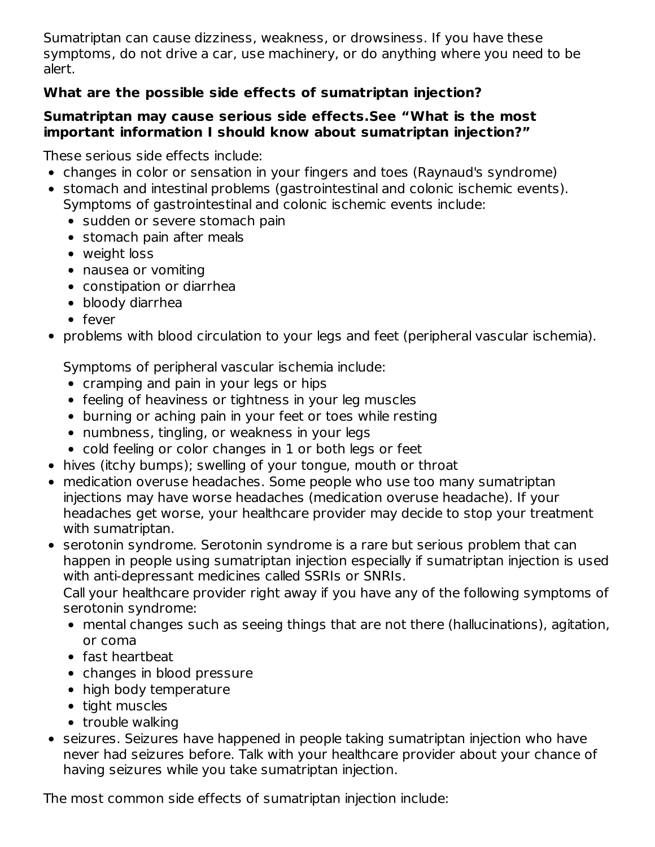Sumatriptan can cause dizziness, weakness, or drowsiness. If you have these symptoms, do not drive a car, use machinery, or do anything where you need to be alert.

## **What are the possible side effects of sumatriptan injection?**

#### **Sumatriptan may cause serious side effects.See "What is the most important information I should know about sumatriptan injection?"**

These serious side effects include:

- changes in color or sensation in your fingers and toes (Raynaud's syndrome)
- stomach and intestinal problems (gastrointestinal and colonic ischemic events). Symptoms of gastrointestinal and colonic ischemic events include:
	- sudden or severe stomach pain
	- stomach pain after meals
	- weight loss
	- nausea or vomiting
	- constipation or diarrhea
	- bloody diarrhea
	- fever
- problems with blood circulation to your legs and feet (peripheral vascular ischemia).

Symptoms of peripheral vascular ischemia include:

- cramping and pain in your legs or hips
- feeling of heaviness or tightness in your leg muscles
- burning or aching pain in your feet or toes while resting
- numbness, tingling, or weakness in your legs
- cold feeling or color changes in 1 or both legs or feet
- hives (itchy bumps); swelling of your tongue, mouth or throat
- medication overuse headaches. Some people who use too many sumatriptan injections may have worse headaches (medication overuse headache). If your headaches get worse, your healthcare provider may decide to stop your treatment with sumatriptan.
- serotonin syndrome. Serotonin syndrome is a rare but serious problem that can happen in people using sumatriptan injection especially if sumatriptan injection is used with anti-depressant medicines called SSRIs or SNRIs.

Call your healthcare provider right away if you have any of the following symptoms of serotonin syndrome:

- mental changes such as seeing things that are not there (hallucinations), agitation, or coma
- fast heartbeat
- changes in blood pressure
- high body temperature
- tight muscles
- $\bullet$  trouble walking
- seizures. Seizures have happened in people taking sumatriptan injection who have never had seizures before. Talk with your healthcare provider about your chance of having seizures while you take sumatriptan injection.

The most common side effects of sumatriptan injection include: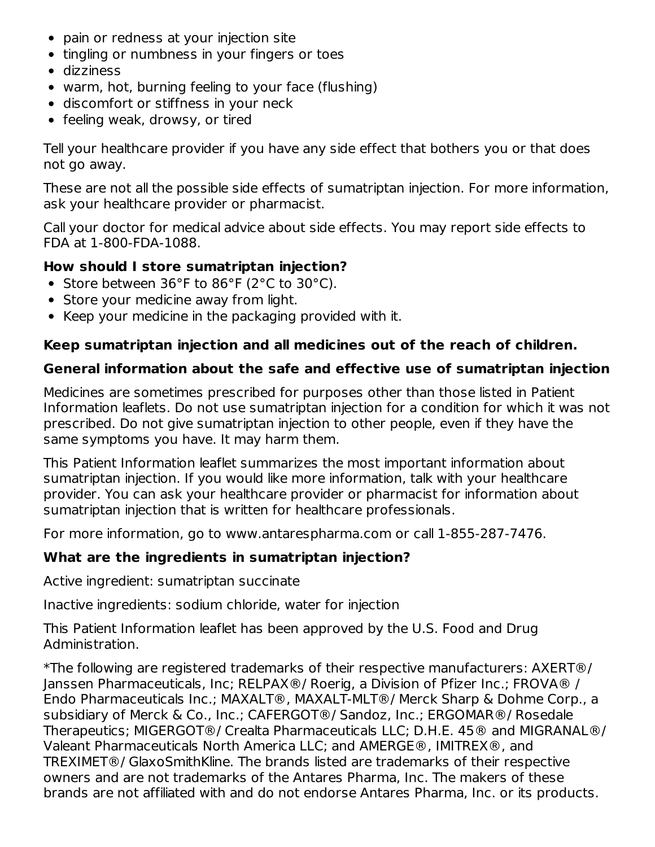- pain or redness at your injection site
- tingling or numbness in your fingers or toes
- dizziness
- warm, hot, burning feeling to your face (flushing)
- discomfort or stiffness in your neck
- feeling weak, drowsy, or tired

Tell your healthcare provider if you have any side effect that bothers you or that does not go away.

These are not all the possible side effects of sumatriptan injection. For more information, ask your healthcare provider or pharmacist.

Call your doctor for medical advice about side effects. You may report side effects to FDA at 1-800-FDA-1088.

#### **How should I store sumatriptan injection?**

- Store between 36°F to 86°F (2°C to 30°C).
- Store your medicine away from light.
- Keep your medicine in the packaging provided with it.

#### **Keep sumatriptan injection and all medicines out of the reach of children.**

#### **General information about the safe and effective use of sumatriptan injection**

Medicines are sometimes prescribed for purposes other than those listed in Patient Information leaflets. Do not use sumatriptan injection for a condition for which it was not prescribed. Do not give sumatriptan injection to other people, even if they have the same symptoms you have. It may harm them.

This Patient Information leaflet summarizes the most important information about sumatriptan injection. If you would like more information, talk with your healthcare provider. You can ask your healthcare provider or pharmacist for information about sumatriptan injection that is written for healthcare professionals.

For more information, go to www.antarespharma.com or call 1-855-287-7476.

#### **What are the ingredients in sumatriptan injection?**

Active ingredient: sumatriptan succinate

Inactive ingredients: sodium chloride, water for injection

This Patient Information leaflet has been approved by the U.S. Food and Drug Administration.

\*The following are registered trademarks of their respective manufacturers: AXERT®/ Janssen Pharmaceuticals, Inc; RELPAX®/ Roerig, a Division of Pfizer Inc.; FROVA® / Endo Pharmaceuticals Inc.; MAXALT®, MAXALT-MLT®/ Merck Sharp & Dohme Corp., a subsidiary of Merck & Co., Inc.; CAFERGOT®/ Sandoz, Inc.; ERGOMAR®/ Rosedale Therapeutics; MIGERGOT®/ Crealta Pharmaceuticals LLC; D.H.E. 45® and MIGRANAL®/ Valeant Pharmaceuticals North America LLC; and AMERGE®, IMITREX®, and TREXIMET®/ GlaxoSmithKline. The brands listed are trademarks of their respective owners and are not trademarks of the Antares Pharma, Inc. The makers of these brands are not affiliated with and do not endorse Antares Pharma, Inc. or its products.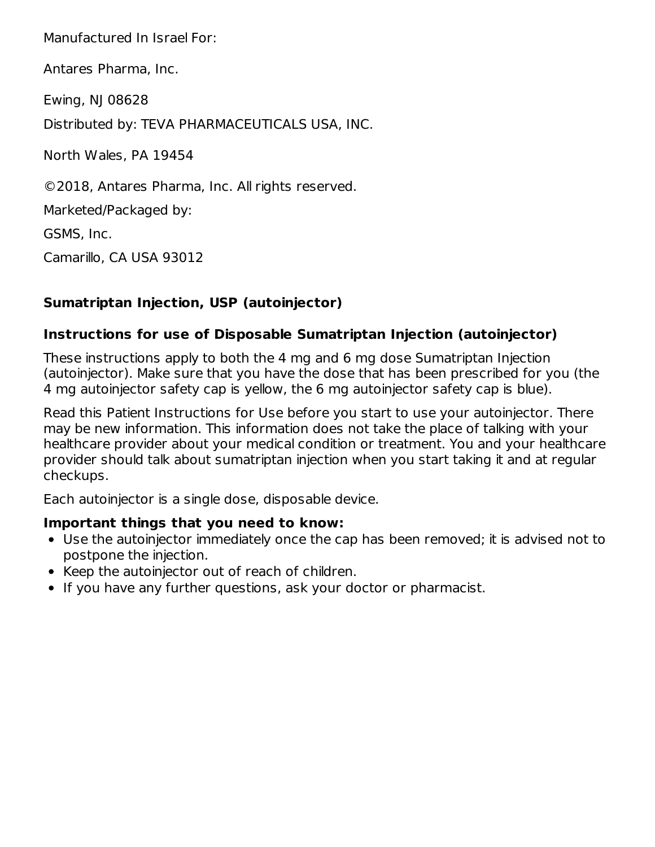Manufactured In Israel For:

Antares Pharma, Inc.

Ewing, NJ 08628

Distributed by: TEVA PHARMACEUTICALS USA, INC.

North Wales, PA 19454

©2018, Antares Pharma, Inc. All rights reserved.

Marketed/Packaged by:

GSMS, Inc.

Camarillo, CA USA 93012

## **Sumatriptan Injection, USP (autoinjector)**

#### **Instructions for use of Disposable Sumatriptan Injection (autoinjector)**

These instructions apply to both the 4 mg and 6 mg dose Sumatriptan Injection (autoinjector). Make sure that you have the dose that has been prescribed for you (the 4 mg autoinjector safety cap is yellow, the 6 mg autoinjector safety cap is blue).

Read this Patient Instructions for Use before you start to use your autoinjector. There may be new information. This information does not take the place of talking with your healthcare provider about your medical condition or treatment. You and your healthcare provider should talk about sumatriptan injection when you start taking it and at regular checkups.

Each autoinjector is a single dose, disposable device.

#### **Important things that you need to know:**

- Use the autoinjector immediately once the cap has been removed; it is advised not to postpone the injection.
- Keep the autoinjector out of reach of children.
- If you have any further questions, ask your doctor or pharmacist.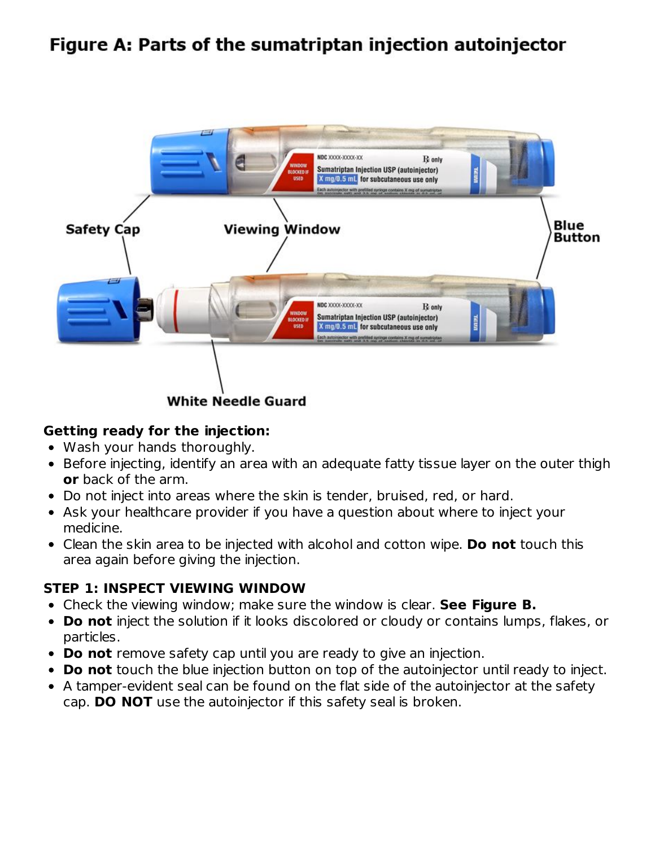# Figure A: Parts of the sumatriptan injection autoinjector



#### **Getting ready for the injection:**

- Wash your hands thoroughly.
- Before injecting, identify an area with an adequate fatty tissue layer on the outer thigh **or** back of the arm.
- Do not inject into areas where the skin is tender, bruised, red, or hard.
- Ask your healthcare provider if you have a question about where to inject your medicine.
- Clean the skin area to be injected with alcohol and cotton wipe. **Do not** touch this area again before giving the injection.

#### **STEP 1: INSPECT VIEWING WINDOW**

- Check the viewing window; make sure the window is clear. **See Figure B.**
- **Do not** inject the solution if it looks discolored or cloudy or contains lumps, flakes, or particles.
- **Do not** remove safety cap until you are ready to give an injection.
- **Do not** touch the blue injection button on top of the autoinjector until ready to inject.
- A tamper-evident seal can be found on the flat side of the autoinjector at the safety cap. **DO NOT** use the autoinjector if this safety seal is broken.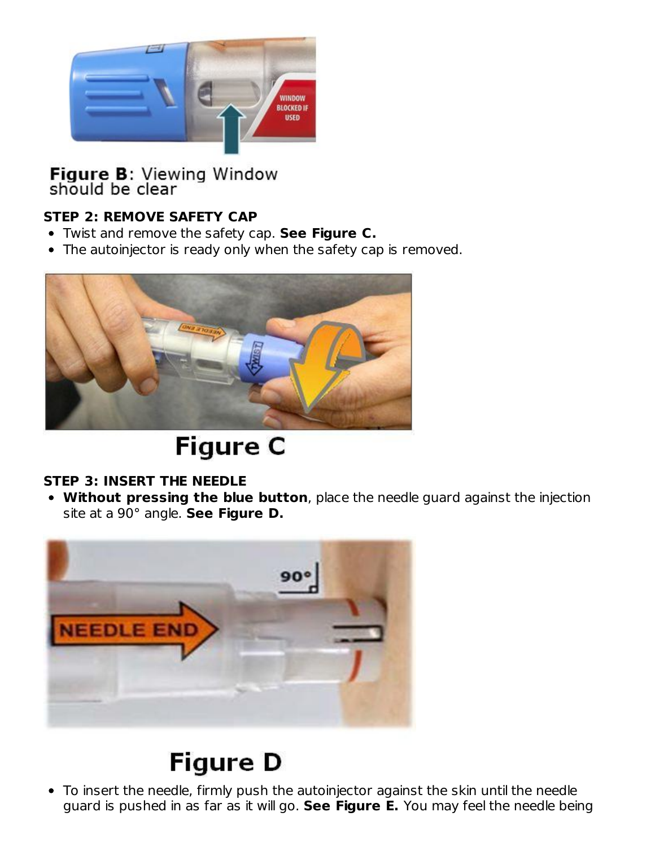

Figure B: Viewing Window<br>should be clear

## **STEP 2: REMOVE SAFETY CAP**

- Twist and remove the safety cap. **See Figure C.**
- The autoinjector is ready only when the safety cap is removed.



# **Figure C**

#### **STEP 3: INSERT THE NEEDLE**

**Without pressing the blue button**, place the needle guard against the injection site at a 90° angle. **See Figure D.**



# **Figure D**

To insert the needle, firmly push the autoinjector against the skin until the needle guard is pushed in as far as it will go. **See Figure E.** You may feel the needle being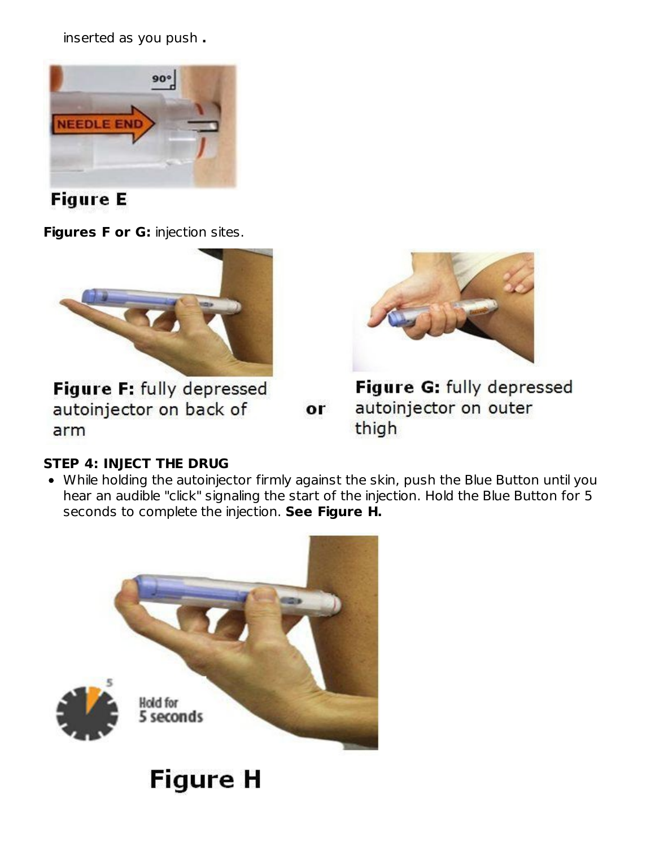inserted as you push **.**





**Figures F or G:** injection sites.



Figure F: fully depressed autoinjector on back of arm

 $or$ 



Figure G: fully depressed autoinjector on outer thigh

## **STEP 4: INJECT THE DRUG**

While holding the autoinjector firmly against the skin, push the Blue Button until you hear an audible "click" signaling the start of the injection. Hold the Blue Button for 5 seconds to complete the injection. **See Figure H.**

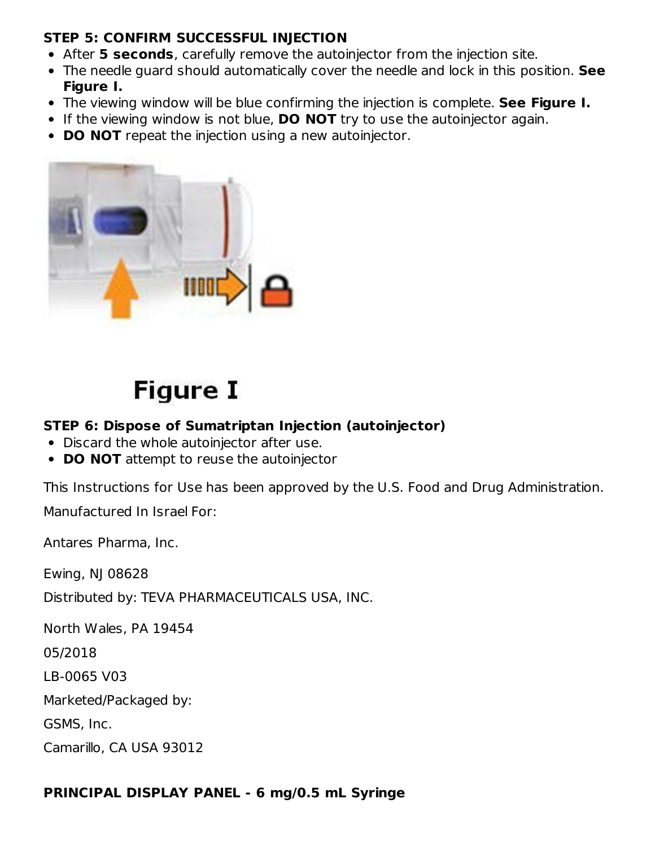#### **STEP 5: CONFIRM SUCCESSFUL INJECTION**

- After **5 seconds**, carefully remove the autoinjector from the injection site.
- The needle guard should automatically cover the needle and lock in this position. **See Figure I.**
- The viewing window will be blue confirming the injection is complete. **See Figure I.**
- If the viewing window is not blue, **DO NOT** try to use the autoinjector again.
- **DO NOT** repeat the injection using a new autoinjector.



# **Figure I**

#### **STEP 6: Dispose of Sumatriptan Injection (autoinjector)**

- Discard the whole autoinjector after use.
- **DO NOT** attempt to reuse the autoinjector

This Instructions for Use has been approved by the U.S. Food and Drug Administration.

Manufactured In Israel For:

Antares Pharma, Inc.

Ewing, NJ 08628

Distributed by: TEVA PHARMACEUTICALS USA, INC.

North Wales, PA 19454

05/2018

LB-0065 V03

Marketed/Packaged by:

GSMS, Inc.

Camarillo, CA USA 93012

#### **PRINCIPAL DISPLAY PANEL - 6 mg/0.5 mL Syringe**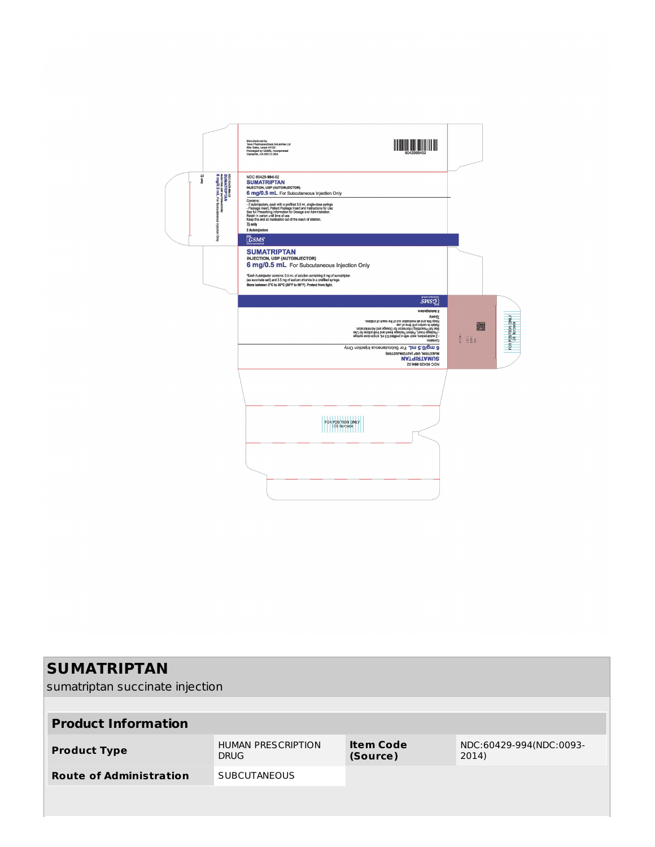

| <b>SUMATRIPTAN</b>                                    |                                          |                              |                                  |  |  |
|-------------------------------------------------------|------------------------------------------|------------------------------|----------------------------------|--|--|
| sumatriptan succinate injection                       |                                          |                              |                                  |  |  |
|                                                       |                                          |                              |                                  |  |  |
| <b>Product Information</b>                            |                                          |                              |                                  |  |  |
| <b>Product Type</b>                                   | <b>HUMAN PRESCRIPTION</b><br><b>DRUG</b> | <b>Item Code</b><br>(Source) | NDC:60429-994(NDC:0093-<br>2014) |  |  |
| <b>Route of Administration</b><br><b>SUBCUTANEOUS</b> |                                          |                              |                                  |  |  |
|                                                       |                                          |                              |                                  |  |  |
|                                                       |                                          |                              |                                  |  |  |